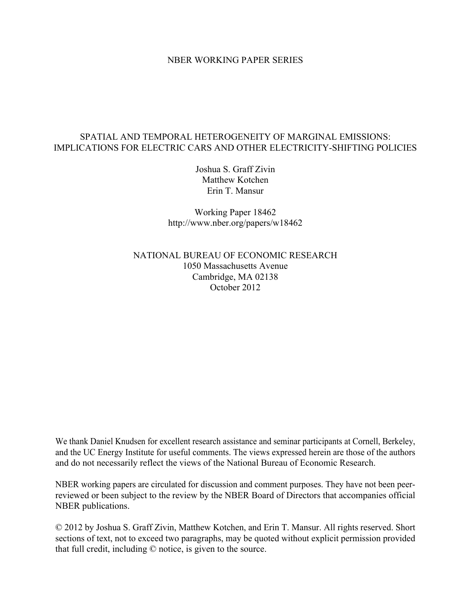## NBER WORKING PAPER SERIES

## SPATIAL AND TEMPORAL HETEROGENEITY OF MARGINAL EMISSIONS: IMPLICATIONS FOR ELECTRIC CARS AND OTHER ELECTRICITY-SHIFTING POLICIES

Joshua S. Graff Zivin Matthew Kotchen Erin T. Mansur

Working Paper 18462 http://www.nber.org/papers/w18462

NATIONAL BUREAU OF ECONOMIC RESEARCH 1050 Massachusetts Avenue Cambridge, MA 02138 October 2012

We thank Daniel Knudsen for excellent research assistance and seminar participants at Cornell, Berkeley, and the UC Energy Institute for useful comments. The views expressed herein are those of the authors and do not necessarily reflect the views of the National Bureau of Economic Research.

NBER working papers are circulated for discussion and comment purposes. They have not been peerreviewed or been subject to the review by the NBER Board of Directors that accompanies official NBER publications.

© 2012 by Joshua S. Graff Zivin, Matthew Kotchen, and Erin T. Mansur. All rights reserved. Short sections of text, not to exceed two paragraphs, may be quoted without explicit permission provided that full credit, including © notice, is given to the source.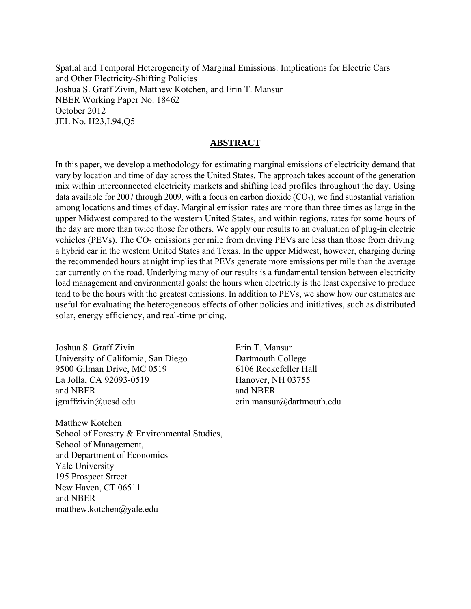Spatial and Temporal Heterogeneity of Marginal Emissions: Implications for Electric Cars and Other Electricity-Shifting Policies Joshua S. Graff Zivin, Matthew Kotchen, and Erin T. Mansur NBER Working Paper No. 18462 October 2012 JEL No. H23,L94,Q5

## **ABSTRACT**

In this paper, we develop a methodology for estimating marginal emissions of electricity demand that vary by location and time of day across the United States. The approach takes account of the generation mix within interconnected electricity markets and shifting load profiles throughout the day. Using data available for 2007 through 2009, with a focus on carbon dioxide  $(CO<sub>2</sub>)$ , we find substantial variation among locations and times of day. Marginal emission rates are more than three times as large in the upper Midwest compared to the western United States, and within regions, rates for some hours of the day are more than twice those for others. We apply our results to an evaluation of plug-in electric vehicles (PEVs). The  $CO<sub>2</sub>$  emissions per mile from driving PEVs are less than those from driving a hybrid car in the western United States and Texas. In the upper Midwest, however, charging during the recommended hours at night implies that PEVs generate more emissions per mile than the average car currently on the road. Underlying many of our results is a fundamental tension between electricity load management and environmental goals: the hours when electricity is the least expensive to produce tend to be the hours with the greatest emissions. In addition to PEVs, we show how our estimates are useful for evaluating the heterogeneous effects of other policies and initiatives, such as distributed solar, energy efficiency, and real-time pricing.

Joshua S. Graff Zivin University of California, San Diego 9500 Gilman Drive, MC 0519 La Jolla, CA 92093-0519 and NBER jgraffzivin@ucsd.edu

Erin T. Mansur Dartmouth College 6106 Rockefeller Hall Hanover, NH 03755 and NBER erin.mansur@dartmouth.edu

Matthew Kotchen School of Forestry & Environmental Studies, School of Management, and Department of Economics Yale University 195 Prospect Street New Haven, CT 06511 and NBER matthew.kotchen@yale.edu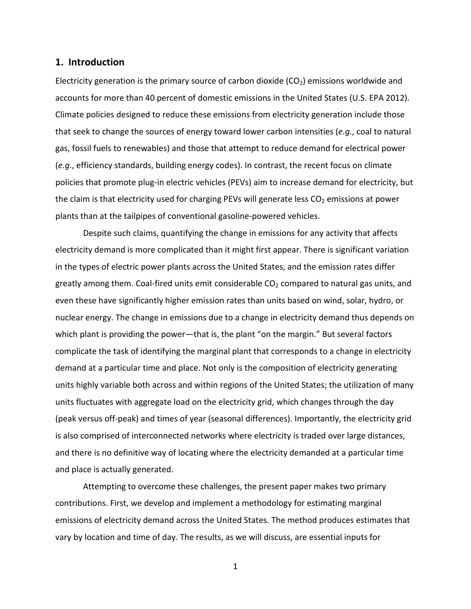#### **1. Introduction**

Electricity generation is the primary source of carbon dioxide  $(CO<sub>2</sub>)$  emissions worldwide and accounts for more than 40 percent of domestic emissions in the United States (U.S. EPA 2012). Climate policies designed to reduce these emissions from electricity generation include those that seek to change the sources of energy toward lower carbon intensities (*e.g*., coal to natural gas, fossil fuels to renewables) and those that attempt to reduce demand for electrical power (*e.g*., efficiency standards, building energy codes). In contrast, the recent focus on climate policies that promote plug-in electric vehicles (PEVs) aim to increase demand for electricity, but the claim is that electricity used for charging PEVs will generate less  $CO<sub>2</sub>$  emissions at power plants than at the tailpipes of conventional gasoline-powered vehicles.

Despite such claims, quantifying the change in emissions for any activity that affects electricity demand is more complicated than it might first appear. There is significant variation in the types of electric power plants across the United States, and the emission rates differ greatly among them. Coal-fired units emit considerable  $CO<sub>2</sub>$  compared to natural gas units, and even these have significantly higher emission rates than units based on wind, solar, hydro, or nuclear energy. The change in emissions due to a change in electricity demand thus depends on which plant is providing the power—that is, the plant "on the margin." But several factors complicate the task of identifying the marginal plant that corresponds to a change in electricity demand at a particular time and place. Not only is the composition of electricity generating units highly variable both across and within regions of the United States; the utilization of many units fluctuates with aggregate load on the electricity grid, which changes through the day (peak versus off-peak) and times of year (seasonal differences). Importantly, the electricity grid is also comprised of interconnected networks where electricity is traded over large distances, and there is no definitive way of locating where the electricity demanded at a particular time and place is actually generated.

Attempting to overcome these challenges, the present paper makes two primary contributions. First, we develop and implement a methodology for estimating marginal emissions of electricity demand across the United States. The method produces estimates that vary by location and time of day. The results, as we will discuss, are essential inputs for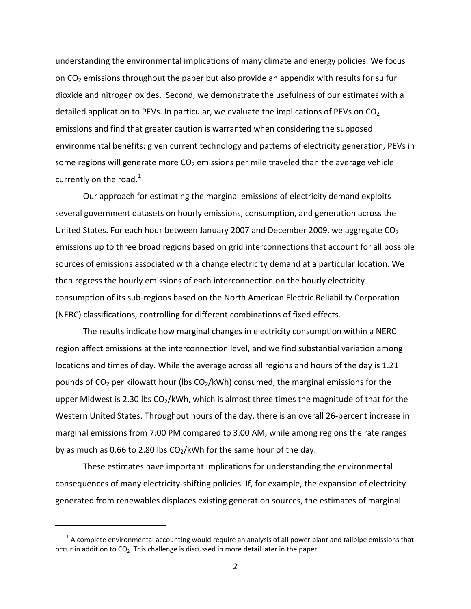understanding the environmental implications of many climate and energy policies. We focus on  $CO<sub>2</sub>$  emissions throughout the paper but also provide an appendix with results for sulfur dioxide and nitrogen oxides. Second, we demonstrate the usefulness of our estimates with a detailed application to PEVs. In particular, we evaluate the implications of PEVs on  $CO<sub>2</sub>$ emissions and find that greater caution is warranted when considering the supposed environmental benefits: given current technology and patterns of electricity generation, PEVs in some regions will generate more  $CO<sub>2</sub>$  emissions per mile traveled than the average vehicle currently on the road. $1$ 

Our approach for estimating the marginal emissions of electricity demand exploits several government datasets on hourly emissions, consumption, and generation across the United States. For each hour between January 2007 and December 2009, we aggregate  $CO<sub>2</sub>$ emissions up to three broad regions based on grid interconnections that account for all possible sources of emissions associated with a change electricity demand at a particular location. We then regress the hourly emissions of each interconnection on the hourly electricity consumption of its sub-regions based on the North American Electric Reliability Corporation (NERC) classifications, controlling for different combinations of fixed effects.

The results indicate how marginal changes in electricity consumption within a NERC region affect emissions at the interconnection level, and we find substantial variation among locations and times of day. While the average across all regions and hours of the day is 1.21 pounds of  $CO<sub>2</sub>$  per kilowatt hour (lbs  $CO<sub>2</sub>/kWh$ ) consumed, the marginal emissions for the upper Midwest is 2.30 lbs  $CO<sub>2</sub>/kWh$ , which is almost three times the magnitude of that for the Western United States. Throughout hours of the day, there is an overall 26-percent increase in marginal emissions from 7:00 PM compared to 3:00 AM, while among regions the rate ranges by as much as 0.66 to 2.80 lbs  $CO<sub>2</sub>/kWh$  for the same hour of the day.

These estimates have important implications for understanding the environmental consequences of many electricity-shifting policies. If, for example, the expansion of electricity generated from renewables displaces existing generation sources, the estimates of marginal

 $\overline{a}$ 

<span id="page-3-0"></span> $1$  A complete environmental accounting would require an analysis of all power plant and tailpipe emissions that occur in addition to  $CO<sub>2</sub>$ . This challenge is discussed in more detail later in the paper.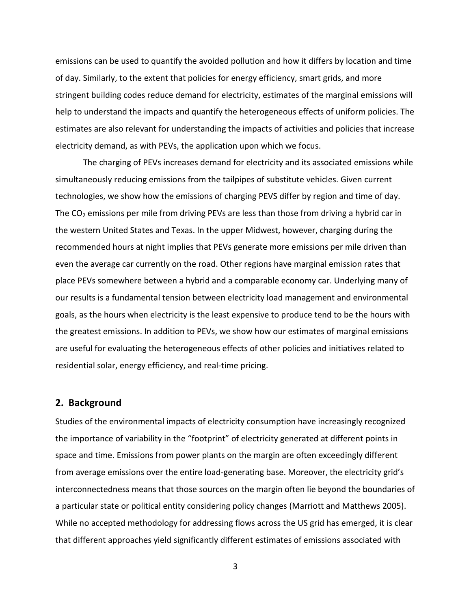emissions can be used to quantify the avoided pollution and how it differs by location and time of day. Similarly, to the extent that policies for energy efficiency, smart grids, and more stringent building codes reduce demand for electricity, estimates of the marginal emissions will help to understand the impacts and quantify the heterogeneous effects of uniform policies. The estimates are also relevant for understanding the impacts of activities and policies that increase electricity demand, as with PEVs, the application upon which we focus.

The charging of PEVs increases demand for electricity and its associated emissions while simultaneously reducing emissions from the tailpipes of substitute vehicles. Given current technologies, we show how the emissions of charging PEVS differ by region and time of day. The  $CO<sub>2</sub>$  emissions per mile from driving PEVs are less than those from driving a hybrid car in the western United States and Texas. In the upper Midwest, however, charging during the recommended hours at night implies that PEVs generate more emissions per mile driven than even the average car currently on the road. Other regions have marginal emission rates that place PEVs somewhere between a hybrid and a comparable economy car. Underlying many of our results is a fundamental tension between electricity load management and environmental goals, as the hours when electricity is the least expensive to produce tend to be the hours with the greatest emissions. In addition to PEVs, we show how our estimates of marginal emissions are useful for evaluating the heterogeneous effects of other policies and initiatives related to residential solar, energy efficiency, and real-time pricing.

### **2. Background**

Studies of the environmental impacts of electricity consumption have increasingly recognized the importance of variability in the "footprint" of electricity generated at different points in space and time. Emissions from power plants on the margin are often exceedingly different from average emissions over the entire load-generating base. Moreover, the electricity grid's interconnectedness means that those sources on the margin often lie beyond the boundaries of a particular state or political entity considering policy changes (Marriott and Matthews 2005). While no accepted methodology for addressing flows across the US grid has emerged, it is clear that different approaches yield significantly different estimates of emissions associated with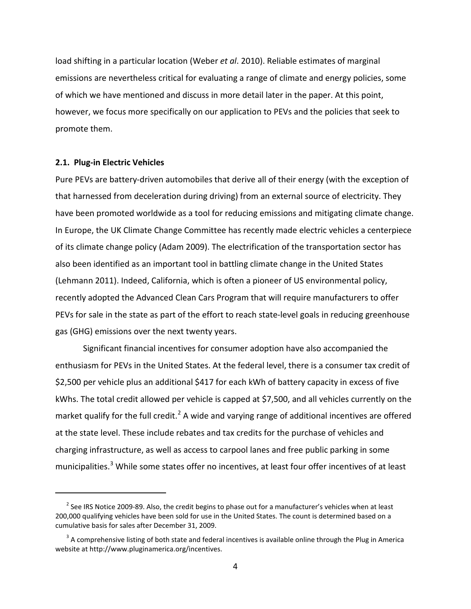load shifting in a particular location (Weber *et al*. 2010). Reliable estimates of marginal emissions are nevertheless critical for evaluating a range of climate and energy policies, some of which we have mentioned and discuss in more detail later in the paper. At this point, however, we focus more specifically on our application to PEVs and the policies that seek to promote them.

#### **2.1. Plug-in Electric Vehicles**

 $\overline{a}$ 

Pure PEVs are battery-driven automobiles that derive all of their energy (with the exception of that harnessed from deceleration during driving) from an external source of electricity. They have been promoted worldwide as a tool for reducing emissions and mitigating climate change. In Europe, the UK Climate Change Committee has recently made electric vehicles a centerpiece of its climate change policy (Adam 2009). The electrification of the transportation sector has also been identified as an important tool in battling climate change in the United States (Lehmann 2011). Indeed, California, which is often a pioneer of US environmental policy, recently adopted the Advanced Clean Cars Program that will require manufacturers to offer PEVs for sale in the state as part of the effort to reach state-level goals in reducing greenhouse gas (GHG) emissions over the next twenty years.

Significant financial incentives for consumer adoption have also accompanied the enthusiasm for PEVs in the United States. At the federal level, there is a consumer tax credit of \$2,500 per vehicle plus an additional \$417 for each kWh of battery capacity in excess of five kWhs. The total credit allowed per vehicle is capped at \$7,500, and all vehicles currently on the market qualify for the full credit.<sup>[2](#page-5-0)</sup> A wide and varying range of additional incentives are offered at the state level. These include rebates and tax credits for the purchase of vehicles and charging infrastructure, as well as access to carpool lanes and free public parking in some municipalities.<sup>[3](#page-5-1)</sup> While some states offer no incentives, at least four offer incentives of at least

<span id="page-5-0"></span> $2$  See IRS Notice 2009-89. Also, the credit begins to phase out for a manufacturer's vehicles when at least 200,000 qualifying vehicles have been sold for use in the United States. The count is determined based on a cumulative basis for sales after December 31, 2009.

<span id="page-5-1"></span><sup>&</sup>lt;sup>3</sup> A comprehensive listing of both state and federal incentives is available online through the Plug in America website at http://www.pluginamerica.org/incentives.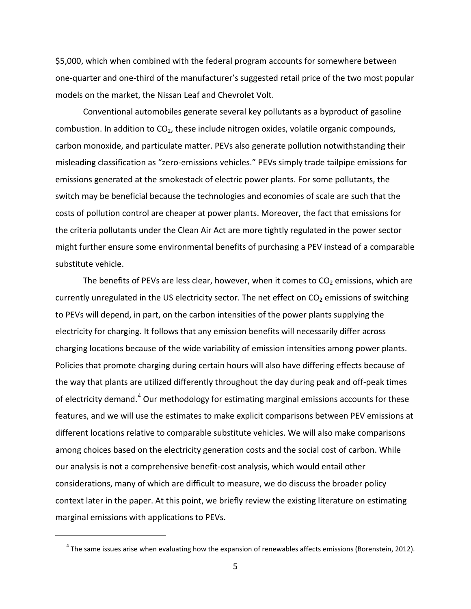\$5,000, which when combined with the federal program accounts for somewhere between one-quarter and one-third of the manufacturer's suggested retail price of the two most popular models on the market, the Nissan Leaf and Chevrolet Volt.

Conventional automobiles generate several key pollutants as a byproduct of gasoline combustion. In addition to  $CO<sub>2</sub>$ , these include nitrogen oxides, volatile organic compounds, carbon monoxide, and particulate matter. PEVs also generate pollution notwithstanding their misleading classification as "zero-emissions vehicles." PEVs simply trade tailpipe emissions for emissions generated at the smokestack of electric power plants. For some pollutants, the switch may be beneficial because the technologies and economies of scale are such that the costs of pollution control are cheaper at power plants. Moreover, the fact that emissions for the criteria pollutants under the Clean Air Act are more tightly regulated in the power sector might further ensure some environmental benefits of purchasing a PEV instead of a comparable substitute vehicle.

The benefits of PEVs are less clear, however, when it comes to  $CO<sub>2</sub>$  emissions, which are currently unregulated in the US electricity sector. The net effect on  $CO<sub>2</sub>$  emissions of switching to PEVs will depend, in part, on the carbon intensities of the power plants supplying the electricity for charging. It follows that any emission benefits will necessarily differ across charging locations because of the wide variability of emission intensities among power plants. Policies that promote charging during certain hours will also have differing effects because of the way that plants are utilized differently throughout the day during peak and off-peak times of electricity demand.<sup>[4](#page-6-0)</sup> Our methodology for estimating marginal emissions accounts for these features, and we will use the estimates to make explicit comparisons between PEV emissions at different locations relative to comparable substitute vehicles. We will also make comparisons among choices based on the electricity generation costs and the social cost of carbon. While our analysis is not a comprehensive benefit-cost analysis, which would entail other considerations, many of which are difficult to measure, we do discuss the broader policy context later in the paper. At this point, we briefly review the existing literature on estimating marginal emissions with applications to PEVs.

<span id="page-6-0"></span> $\overline{a}$ 

<sup>&</sup>lt;sup>4</sup> The same issues arise when evaluating how the expansion of renewables affects emissions (Borenstein, 2012).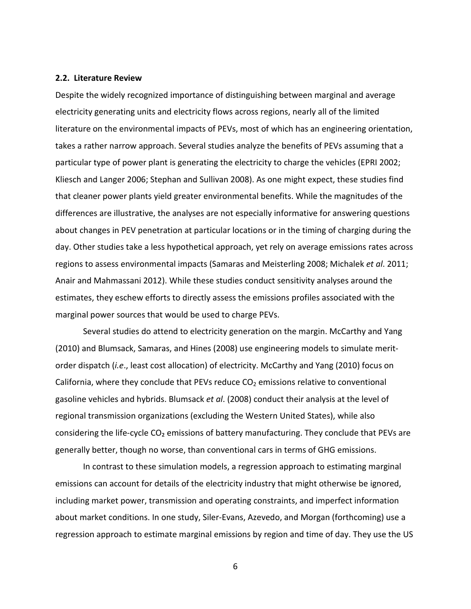#### **2.2. Literature Review**

Despite the widely recognized importance of distinguishing between marginal and average electricity generating units and electricity flows across regions, nearly all of the limited literature on the environmental impacts of PEVs, most of which has an engineering orientation, takes a rather narrow approach. Several studies analyze the benefits of PEVs assuming that a particular type of power plant is generating the electricity to charge the vehicles (EPRI 2002; Kliesch and Langer 2006; Stephan and Sullivan 2008). As one might expect, these studies find that cleaner power plants yield greater environmental benefits. While the magnitudes of the differences are illustrative, the analyses are not especially informative for answering questions about changes in PEV penetration at particular locations or in the timing of charging during the day. Other studies take a less hypothetical approach, yet rely on average emissions rates across regions to assess environmental impacts (Samaras and Meisterling 2008; Michalek *et al*. 2011; Anair and Mahmassani 2012). While these studies conduct sensitivity analyses around the estimates, they eschew efforts to directly assess the emissions profiles associated with the marginal power sources that would be used to charge PEVs.

Several studies do attend to electricity generation on the margin. McCarthy and Yang (2010) and Blumsack, Samaras, and Hines (2008) use engineering models to simulate meritorder dispatch (*i.e*., least cost allocation) of electricity. McCarthy and Yang (2010) focus on California, where they conclude that PEVs reduce  $CO<sub>2</sub>$  emissions relative to conventional gasoline vehicles and hybrids. Blumsack *et al*. (2008) conduct their analysis at the level of regional transmission organizations (excluding the Western United States), while also considering the life-cycle CO<sub>2</sub> emissions of battery manufacturing. They conclude that PEVs are generally better, though no worse, than conventional cars in terms of GHG emissions.

In contrast to these simulation models, a regression approach to estimating marginal emissions can account for details of the electricity industry that might otherwise be ignored, including market power, transmission and operating constraints, and imperfect information about market conditions. In one study, Siler-Evans, Azevedo, and Morgan (forthcoming) use a regression approach to estimate marginal emissions by region and time of day. They use the US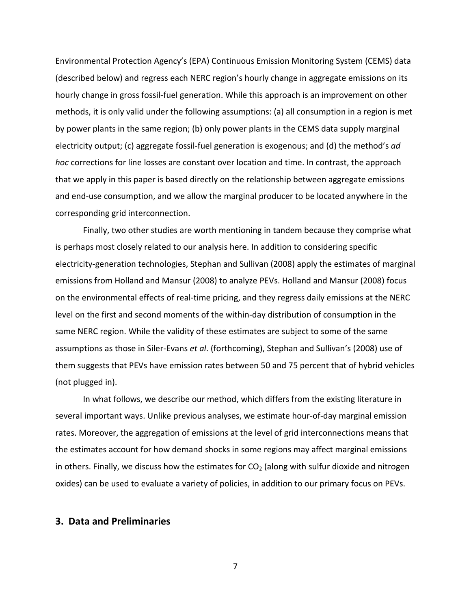Environmental Protection Agency's (EPA) Continuous Emission Monitoring System (CEMS) data (described below) and regress each NERC region's hourly change in aggregate emissions on its hourly change in gross fossil-fuel generation. While this approach is an improvement on other methods, it is only valid under the following assumptions: (a) all consumption in a region is met by power plants in the same region; (b) only power plants in the CEMS data supply marginal electricity output; (c) aggregate fossil-fuel generation is exogenous; and (d) the method's *ad hoc* corrections for line losses are constant over location and time. In contrast, the approach that we apply in this paper is based directly on the relationship between aggregate emissions and end-use consumption, and we allow the marginal producer to be located anywhere in the corresponding grid interconnection.

Finally, two other studies are worth mentioning in tandem because they comprise what is perhaps most closely related to our analysis here. In addition to considering specific electricity-generation technologies, Stephan and Sullivan (2008) apply the estimates of marginal emissions from Holland and Mansur (2008) to analyze PEVs. Holland and Mansur (2008) focus on the environmental effects of real-time pricing, and they regress daily emissions at the NERC level on the first and second moments of the within-day distribution of consumption in the same NERC region. While the validity of these estimates are subject to some of the same assumptions as those in Siler-Evans *et al*. (forthcoming), Stephan and Sullivan's (2008) use of them suggests that PEVs have emission rates between 50 and 75 percent that of hybrid vehicles (not plugged in).

In what follows, we describe our method, which differs from the existing literature in several important ways. Unlike previous analyses, we estimate hour-of-day marginal emission rates. Moreover, the aggregation of emissions at the level of grid interconnections means that the estimates account for how demand shocks in some regions may affect marginal emissions in others. Finally, we discuss how the estimates for  $CO<sub>2</sub>$  (along with sulfur dioxide and nitrogen oxides) can be used to evaluate a variety of policies, in addition to our primary focus on PEVs.

# **3. Data and Preliminaries**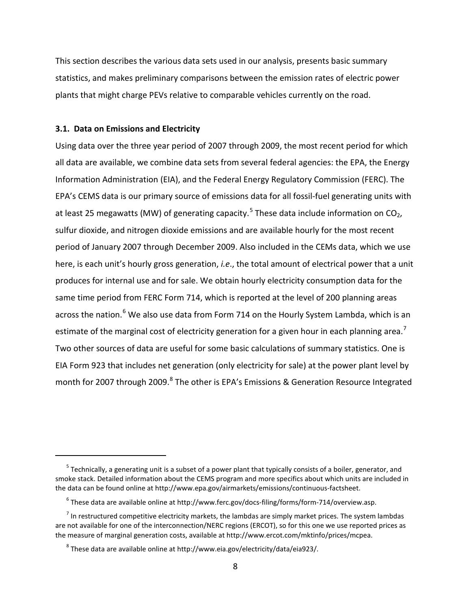This section describes the various data sets used in our analysis, presents basic summary statistics, and makes preliminary comparisons between the emission rates of electric power plants that might charge PEVs relative to comparable vehicles currently on the road.

## **3.1. Data on Emissions and Electricity**

 $\overline{a}$ 

Using data over the three year period of 2007 through 2009, the most recent period for which all data are available, we combine data sets from several federal agencies: the EPA, the Energy Information Administration (EIA), and the Federal Energy Regulatory Commission (FERC). The EPA's CEMS data is our primary source of emissions data for all fossil-fuel generating units with at least 2[5](#page-9-0) megawatts (MW) of generating capacity.<sup>5</sup> These data include information on CO<sub>2</sub>, sulfur dioxide, and nitrogen dioxide emissions and are available hourly for the most recent period of January 2007 through December 2009. Also included in the CEMs data, which we use here, is each unit's hourly gross generation, *i.e*., the total amount of electrical power that a unit produces for internal use and for sale. We obtain hourly electricity consumption data for the same time period from FERC Form 714, which is reported at the level of 200 planning areas across the nation.<sup>[6](#page-9-1)</sup> We also use data from Form 714 on the Hourly System Lambda, which is an estimate of the marginal cost of electricity generation for a given hour in each planning area.<sup>[7](#page-9-2)</sup> Two other sources of data are useful for some basic calculations of summary statistics. One is EIA Form 923 that includes net generation (only electricity for sale) at the power plant level by month for 2007 through 2009.<sup>[8](#page-9-3)</sup> The other is EPA's Emissions & Generation Resource Integrated

<span id="page-9-0"></span> $5$  Technically, a generating unit is a subset of a power plant that typically consists of a boiler, generator, and smoke stack. Detailed information about the CEMS program and more specifics about which units are included in the data can be found online at http://www.epa.gov/airmarkets/emissions/continuous-factsheet.

<sup>6</sup> These data are available online at http://www.ferc.gov/docs-filing/forms/form-714/overview.asp.

<span id="page-9-3"></span><span id="page-9-2"></span><span id="page-9-1"></span> $<sup>7</sup>$  In restructured competitive electricity markets, the lambdas are simply market prices. The system lambdas</sup> are not available for one of the interconnection/NERC regions (ERCOT), so for this one we use reported prices as the measure of marginal generation costs, available at http://www.ercot.com/mktinfo/prices/mcpea.

 $8$  These data are available online at http://www.eia.gov/electricity/data/eia923/.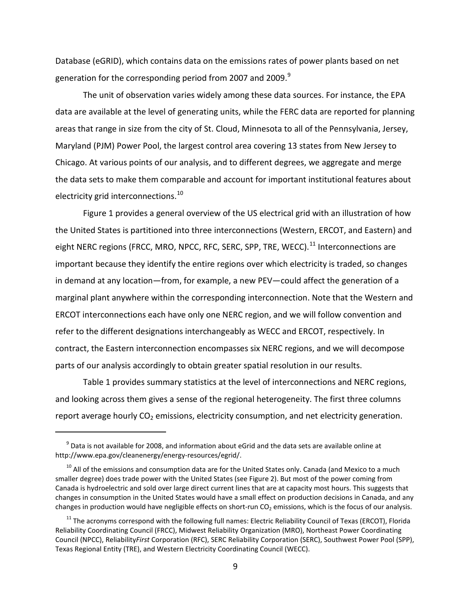Database (eGRID), which contains data on the emissions rates of power plants based on net generation for the corresponding period from 2007 and 200[9](#page-10-0).<sup>9</sup>

The unit of observation varies widely among these data sources. For instance, the EPA data are available at the level of generating units, while the FERC data are reported for planning areas that range in size from the city of St. Cloud, Minnesota to all of the Pennsylvania, Jersey, Maryland (PJM) Power Pool, the largest control area covering 13 states from New Jersey to Chicago. At various points of our analysis, and to different degrees, we aggregate and merge the data sets to make them comparable and account for important institutional features about electricity grid interconnections.<sup>[10](#page-10-1)</sup>

Figure 1 provides a general overview of the US electrical grid with an illustration of how the United States is partitioned into three interconnections (Western, ERCOT, and Eastern) and eight NERC regions (FRCC, MRO, NPCC, RFC, SERC, SPP, TRE, WECC). $^{11}$  $^{11}$  $^{11}$  Interconnections are important because they identify the entire regions over which electricity is traded, so changes in demand at any location—from, for example, a new PEV—could affect the generation of a marginal plant anywhere within the corresponding interconnection. Note that the Western and ERCOT interconnections each have only one NERC region, and we will follow convention and refer to the different designations interchangeably as WECC and ERCOT, respectively. In contract, the Eastern interconnection encompasses six NERC regions, and we will decompose parts of our analysis accordingly to obtain greater spatial resolution in our results.

Table 1 provides summary statistics at the level of interconnections and NERC regions, and looking across them gives a sense of the regional heterogeneity. The first three columns report average hourly  $CO<sub>2</sub>$  emissions, electricity consumption, and net electricity generation.

 $\overline{a}$ 

<span id="page-10-0"></span> $9$  Data is not available for 2008, and information about eGrid and the data sets are available online at http://www.epa.gov/cleanenergy/energy-resources/egrid/.

<span id="page-10-1"></span> $10$  All of the emissions and consumption data are for the United States only. Canada (and Mexico to a much smaller degree) does trade power with the United States (see Figure 2). But most of the power coming from Canada is hydroelectric and sold over large direct current lines that are at capacity most hours. This suggests that changes in consumption in the United States would have a small effect on production decisions in Canada, and any changes in production would have negligible effects on short-run  $CO<sub>2</sub>$  emissions, which is the focus of our analysis.

<span id="page-10-2"></span> $11$  The acronyms correspond with the following full names: Electric Reliability Council of Texas (ERCOT), Florida Reliability Coordinating Council (FRCC), Midwest Reliability Organization (MRO), Northeast Power Coordinating Council (NPCC), Reliability*First* Corporation (RFC), SERC Reliability Corporation (SERC), Southwest Power Pool (SPP), Texas Regional Entity (TRE), and Western Electricity Coordinating Council (WECC).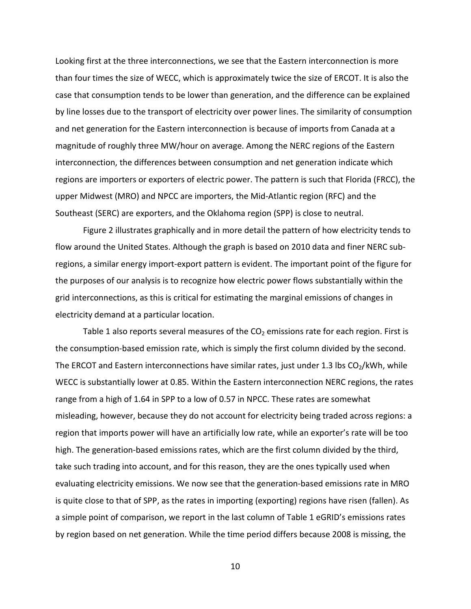Looking first at the three interconnections, we see that the Eastern interconnection is more than four times the size of WECC, which is approximately twice the size of ERCOT. It is also the case that consumption tends to be lower than generation, and the difference can be explained by line losses due to the transport of electricity over power lines. The similarity of consumption and net generation for the Eastern interconnection is because of imports from Canada at a magnitude of roughly three MW/hour on average. Among the NERC regions of the Eastern interconnection, the differences between consumption and net generation indicate which regions are importers or exporters of electric power. The pattern is such that Florida (FRCC), the upper Midwest (MRO) and NPCC are importers, the Mid-Atlantic region (RFC) and the Southeast (SERC) are exporters, and the Oklahoma region (SPP) is close to neutral.

Figure 2 illustrates graphically and in more detail the pattern of how electricity tends to flow around the United States. Although the graph is based on 2010 data and finer NERC subregions, a similar energy import-export pattern is evident. The important point of the figure for the purposes of our analysis is to recognize how electric power flows substantially within the grid interconnections, as this is critical for estimating the marginal emissions of changes in electricity demand at a particular location.

Table 1 also reports several measures of the  $CO<sub>2</sub>$  emissions rate for each region. First is the consumption-based emission rate, which is simply the first column divided by the second. The ERCOT and Eastern interconnections have similar rates, just under 1.3 lbs  $CO<sub>2</sub>/kWh$ , while WECC is substantially lower at 0.85. Within the Eastern interconnection NERC regions, the rates range from a high of 1.64 in SPP to a low of 0.57 in NPCC. These rates are somewhat misleading, however, because they do not account for electricity being traded across regions: a region that imports power will have an artificially low rate, while an exporter's rate will be too high. The generation-based emissions rates, which are the first column divided by the third, take such trading into account, and for this reason, they are the ones typically used when evaluating electricity emissions. We now see that the generation-based emissions rate in MRO is quite close to that of SPP, as the rates in importing (exporting) regions have risen (fallen). As a simple point of comparison, we report in the last column of Table 1 eGRID's emissions rates by region based on net generation. While the time period differs because 2008 is missing, the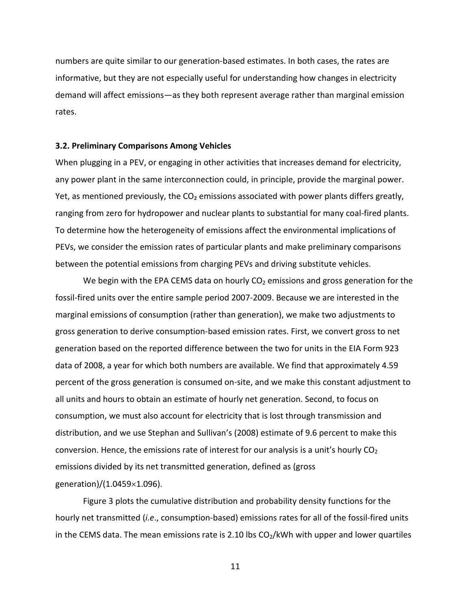numbers are quite similar to our generation-based estimates. In both cases, the rates are informative, but they are not especially useful for understanding how changes in electricity demand will affect emissions—as they both represent average rather than marginal emission rates.

#### **3.2. Preliminary Comparisons Among Vehicles**

When plugging in a PEV, or engaging in other activities that increases demand for electricity, any power plant in the same interconnection could, in principle, provide the marginal power. Yet, as mentioned previously, the  $CO<sub>2</sub>$  emissions associated with power plants differs greatly, ranging from zero for hydropower and nuclear plants to substantial for many coal-fired plants. To determine how the heterogeneity of emissions affect the environmental implications of PEVs, we consider the emission rates of particular plants and make preliminary comparisons between the potential emissions from charging PEVs and driving substitute vehicles.

We begin with the EPA CEMS data on hourly  $CO<sub>2</sub>$  emissions and gross generation for the fossil-fired units over the entire sample period 2007-2009. Because we are interested in the marginal emissions of consumption (rather than generation), we make two adjustments to gross generation to derive consumption-based emission rates. First, we convert gross to net generation based on the reported difference between the two for units in the EIA Form 923 data of 2008, a year for which both numbers are available. We find that approximately 4.59 percent of the gross generation is consumed on-site, and we make this constant adjustment to all units and hours to obtain an estimate of hourly net generation. Second, to focus on consumption, we must also account for electricity that is lost through transmission and distribution, and we use Stephan and Sullivan's (2008) estimate of 9.6 percent to make this conversion. Hence, the emissions rate of interest for our analysis is a unit's hourly  $CO<sub>2</sub>$ emissions divided by its net transmitted generation, defined as (gross generation)/(1.0459×1.096).

Figure 3 plots the cumulative distribution and probability density functions for the hourly net transmitted (*i.e*., consumption-based) emissions rates for all of the fossil-fired units in the CEMS data. The mean emissions rate is 2.10 lbs  $CO<sub>2</sub>/kWh$  with upper and lower quartiles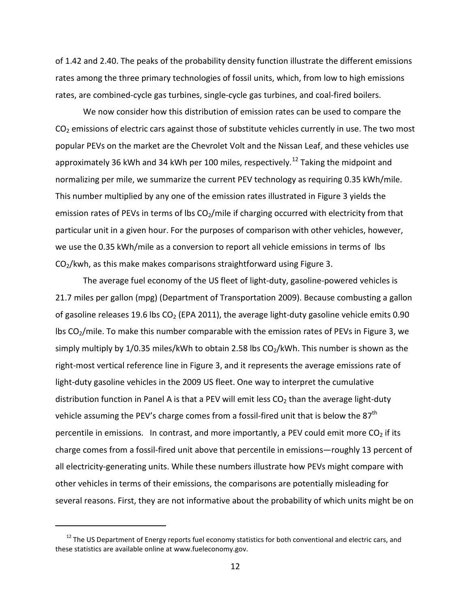of 1.42 and 2.40. The peaks of the probability density function illustrate the different emissions rates among the three primary technologies of fossil units, which, from low to high emissions rates, are combined-cycle gas turbines, single-cycle gas turbines, and coal-fired boilers.

We now consider how this distribution of emission rates can be used to compare the CO<sub>2</sub> emissions of electric cars against those of substitute vehicles currently in use. The two most popular PEVs on the market are the Chevrolet Volt and the Nissan Leaf, and these vehicles use approximately 36 kWh and 34 kWh per 100 miles, respectively.<sup>[12](#page-13-0)</sup> Taking the midpoint and normalizing per mile, we summarize the current PEV technology as requiring 0.35 kWh/mile. This number multiplied by any one of the emission rates illustrated in Figure 3 yields the emission rates of PEVs in terms of lbs CO<sub>2</sub>/mile if charging occurred with electricity from that particular unit in a given hour. For the purposes of comparison with other vehicles, however, we use the 0.35 kWh/mile as a conversion to report all vehicle emissions in terms of lbs  $CO<sub>2</sub>/kwh$ , as this make makes comparisons straightforward using Figure 3.

The average fuel economy of the US fleet of light-duty, gasoline-powered vehicles is 21.7 miles per gallon (mpg) (Department of Transportation 2009). Because combusting a gallon of gasoline releases 19.6 lbs  $CO<sub>2</sub>$  (EPA 2011), the average light-duty gasoline vehicle emits 0.90 lbs  $CO<sub>2</sub>/mile.$  To make this number comparable with the emission rates of PEVs in Figure 3, we simply multiply by 1/0.35 miles/kWh to obtain 2.58 lbs  $CO<sub>2</sub>/kWh$ . This number is shown as the right-most vertical reference line in Figure 3, and it represents the average emissions rate of light-duty gasoline vehicles in the 2009 US fleet. One way to interpret the cumulative distribution function in Panel A is that a PEV will emit less  $CO<sub>2</sub>$  than the average light-duty vehicle assuming the PEV's charge comes from a fossil-fired unit that is below the 87<sup>th</sup> percentile in emissions. In contrast, and more importantly, a PEV could emit more  $CO<sub>2</sub>$  if its charge comes from a fossil-fired unit above that percentile in emissions—roughly 13 percent of all electricity-generating units. While these numbers illustrate how PEVs might compare with other vehicles in terms of their emissions, the comparisons are potentially misleading for several reasons. First, they are not informative about the probability of which units might be on

 $\overline{a}$ 

<span id="page-13-0"></span> $12$  The US Department of Energy reports fuel economy statistics for both conventional and electric cars, and these statistics are available online at www.fueleconomy.gov.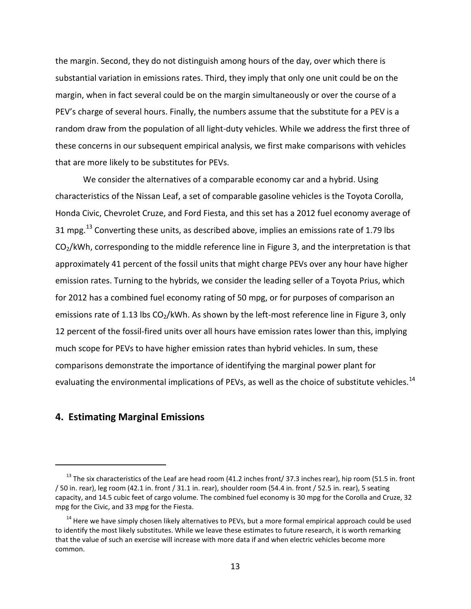the margin. Second, they do not distinguish among hours of the day, over which there is substantial variation in emissions rates. Third, they imply that only one unit could be on the margin, when in fact several could be on the margin simultaneously or over the course of a PEV's charge of several hours. Finally, the numbers assume that the substitute for a PEV is a random draw from the population of all light-duty vehicles. While we address the first three of these concerns in our subsequent empirical analysis, we first make comparisons with vehicles that are more likely to be substitutes for PEVs.

We consider the alternatives of a comparable economy car and a hybrid. Using characteristics of the Nissan Leaf, a set of comparable gasoline vehicles is the Toyota Corolla, Honda Civic, Chevrolet Cruze, and Ford Fiesta, and this set has a 2012 fuel economy average of 31 mpg.<sup>[13](#page-14-0)</sup> Converting these units, as described above, implies an emissions rate of 1.79 lbs  $CO<sub>2</sub>/kWh$ , corresponding to the middle reference line in Figure 3, and the interpretation is that approximately 41 percent of the fossil units that might charge PEVs over any hour have higher emission rates. Turning to the hybrids, we consider the leading seller of a Toyota Prius, which for 2012 has a combined fuel economy rating of 50 mpg, or for purposes of comparison an emissions rate of 1.13 lbs  $CO<sub>2</sub>/kWh$ . As shown by the left-most reference line in Figure 3, only 12 percent of the fossil-fired units over all hours have emission rates lower than this, implying much scope for PEVs to have higher emission rates than hybrid vehicles. In sum, these comparisons demonstrate the importance of identifying the marginal power plant for evaluating the environmental implications of PEVs, as well as the choice of substitute vehicles.<sup>[14](#page-14-1)</sup>

## **4. Estimating Marginal Emissions**

 $\overline{a}$ 

<span id="page-14-0"></span> $13$  The six characteristics of the Leaf are head room (41.2 inches front/ 37.3 inches rear), hip room (51.5 in. front / 50 in. rear), leg room (42.1 in. front / 31.1 in. rear), shoulder room (54.4 in. front / 52.5 in. rear), 5 seating capacity, and 14.5 cubic feet of cargo volume. The combined fuel economy is 30 mpg for the Corolla and Cruze, 32 mpg for the Civic, and 33 mpg for the Fiesta.

<span id="page-14-1"></span> $14$  Here we have simply chosen likely alternatives to PEVs, but a more formal empirical approach could be used to identify the most likely substitutes. While we leave these estimates to future research, it is worth remarking that the value of such an exercise will increase with more data if and when electric vehicles become more common.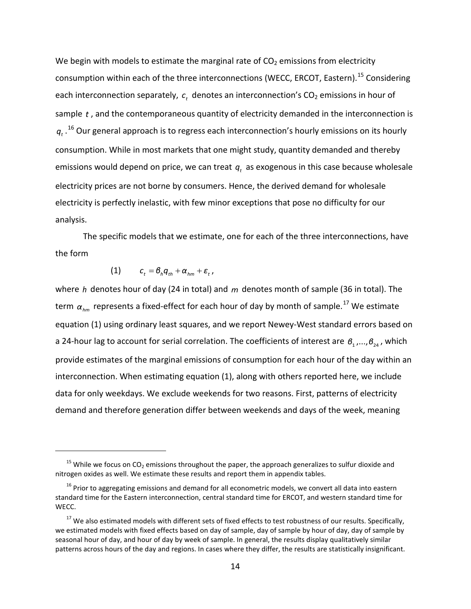We begin with models to estimate the marginal rate of  $CO<sub>2</sub>$  emissions from electricity consumption within each of the three interconnections (WECC, ERCOT, Eastern).<sup>[15](#page-15-0)</sup> Considering each interconnection separately,  $c_t$  denotes an interconnection's CO<sub>2</sub> emissions in hour of sample *t* , and the contemporaneous quantity of electricity demanded in the interconnection is  $q_t$ . <sup>[16](#page-15-1)</sup> Our general approach is to regress each interconnection's hourly emissions on its hourly consumption. While in most markets that one might study, quantity demanded and thereby emissions would depend on price, we can treat  $q_t$  as exogenous in this case because wholesale electricity prices are not borne by consumers. Hence, the derived demand for wholesale electricity is perfectly inelastic, with few minor exceptions that pose no difficulty for our analysis.

The specific models that we estimate, one for each of the three interconnections, have the form

$$
(1) \t c_t = \theta_h q_{th} + \alpha_{hm} + \varepsilon_t,
$$

 $\overline{a}$ 

where *h* denotes hour of day (24 in total) and *m* denotes month of sample (36 in total). The term  $\alpha_{hm}$  represents a fixed-effect for each hour of day by month of sample.<sup>[17](#page-15-2)</sup> We estimate equation (1) using ordinary least squares, and we report Newey-West standard errors based on a 24-hour lag to account for serial correlation. The coefficients of interest are  $\theta_1$ ,...,  $\theta_{24}$ , which provide estimates of the marginal emissions of consumption for each hour of the day within an interconnection. When estimating equation (1), along with others reported here, we include data for only weekdays. We exclude weekends for two reasons. First, patterns of electricity demand and therefore generation differ between weekends and days of the week, meaning

<span id="page-15-0"></span><sup>&</sup>lt;sup>15</sup> While we focus on CO<sub>2</sub> emissions throughout the paper, the approach generalizes to sulfur dioxide and nitrogen oxides as well. We estimate these results and report them in appendix tables.

<span id="page-15-1"></span> $16$  Prior to aggregating emissions and demand for all econometric models, we convert all data into eastern standard time for the Eastern interconnection, central standard time for ERCOT, and western standard time for WECC.

<span id="page-15-2"></span> $17$  We also estimated models with different sets of fixed effects to test robustness of our results. Specifically, we estimated models with fixed effects based on day of sample, day of sample by hour of day, day of sample by seasonal hour of day, and hour of day by week of sample. In general, the results display qualitatively similar patterns across hours of the day and regions. In cases where they differ, the results are statistically insignificant.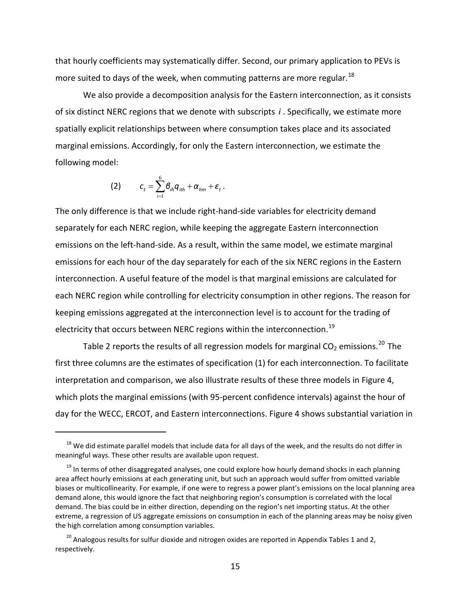that hourly coefficients may systematically differ. Second, our primary application to PEVs is more suited to days of the week, when commuting patterns are more regular.<sup>[18](#page-16-0)</sup>

We also provide a decomposition analysis for the Eastern interconnection, as it consists of six distinct NERC regions that we denote with subscripts *i* . Specifically, we estimate more spatially explicit relationships between where consumption takes place and its associated marginal emissions. Accordingly, for only the Eastern interconnection, we estimate the following model:

(2) 
$$
c_t = \sum_{i=1}^6 \theta_{ih} q_{ith} + \alpha_{hm} + \varepsilon_t.
$$

 $\overline{a}$ 

The only difference is that we include right-hand-side variables for electricity demand separately for each NERC region, while keeping the aggregate Eastern interconnection emissions on the left-hand-side. As a result, within the same model, we estimate marginal emissions for each hour of the day separately for each of the six NERC regions in the Eastern interconnection. A useful feature of the model is that marginal emissions are calculated for each NERC region while controlling for electricity consumption in other regions. The reason for keeping emissions aggregated at the interconnection level is to account for the trading of electricity that occurs between NERC regions within the interconnection.<sup>[19](#page-16-1)</sup>

Table 2 reports the results of all regression models for marginal  $CO<sub>2</sub>$  emissions.<sup>[20](#page-16-2)</sup> The first three columns are the estimates of specification (1) for each interconnection. To facilitate interpretation and comparison, we also illustrate results of these three models in Figure 4, which plots the marginal emissions (with 95-percent confidence intervals) against the hour of day for the WECC, ERCOT, and Eastern interconnections. Figure 4 shows substantial variation in

<span id="page-16-0"></span><sup>&</sup>lt;sup>18</sup> We did estimate parallel models that include data for all days of the week, and the results do not differ in meaningful ways. These other results are available upon request.

<span id="page-16-1"></span><sup>&</sup>lt;sup>19</sup> In terms of other disaggregated analyses, one could explore how hourly demand shocks in each planning area affect hourly emissions at each generating unit, but such an approach would suffer from omitted variable biases or multicollinearity. For example, if one were to regress a power plant's emissions on the local planning area demand alone, this would ignore the fact that neighboring region's consumption is correlated with the local demand. The bias could be in either direction, depending on the region's net importing status. At the other extreme, a regression of US aggregate emissions on consumption in each of the planning areas may be noisy given the high correlation among consumption variables.

<span id="page-16-2"></span> $^{20}$  Analogous results for sulfur dioxide and nitrogen oxides are reported in Appendix Tables 1 and 2, respectively.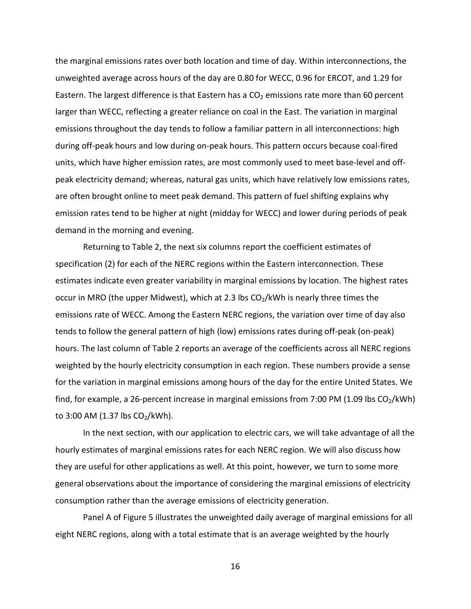the marginal emissions rates over both location and time of day. Within interconnections, the unweighted average across hours of the day are 0.80 for WECC, 0.96 for ERCOT, and 1.29 for Eastern. The largest difference is that Eastern has a  $CO<sub>2</sub>$  emissions rate more than 60 percent larger than WECC, reflecting a greater reliance on coal in the East. The variation in marginal emissions throughout the day tends to follow a familiar pattern in all interconnections: high during off-peak hours and low during on-peak hours. This pattern occurs because coal-fired units, which have higher emission rates, are most commonly used to meet base-level and offpeak electricity demand; whereas, natural gas units, which have relatively low emissions rates, are often brought online to meet peak demand. This pattern of fuel shifting explains why emission rates tend to be higher at night (midday for WECC) and lower during periods of peak demand in the morning and evening.

Returning to Table 2, the next six columns report the coefficient estimates of specification (2) for each of the NERC regions within the Eastern interconnection. These estimates indicate even greater variability in marginal emissions by location. The highest rates occur in MRO (the upper Midwest), which at 2.3 lbs  $CO<sub>2</sub>/kWh$  is nearly three times the emissions rate of WECC. Among the Eastern NERC regions, the variation over time of day also tends to follow the general pattern of high (low) emissions rates during off-peak (on-peak) hours. The last column of Table 2 reports an average of the coefficients across all NERC regions weighted by the hourly electricity consumption in each region. These numbers provide a sense for the variation in marginal emissions among hours of the day for the entire United States. We find, for example, a 26-percent increase in marginal emissions from 7:00 PM (1.09 lbs  $CO<sub>2</sub>/kWh$ ) to 3:00 AM (1.37 lbs  $CO<sub>2</sub>/kWh$ ).

In the next section, with our application to electric cars, we will take advantage of all the hourly estimates of marginal emissions rates for each NERC region. We will also discuss how they are useful for other applications as well. At this point, however, we turn to some more general observations about the importance of considering the marginal emissions of electricity consumption rather than the average emissions of electricity generation.

Panel A of Figure 5 illustrates the unweighted daily average of marginal emissions for all eight NERC regions, along with a total estimate that is an average weighted by the hourly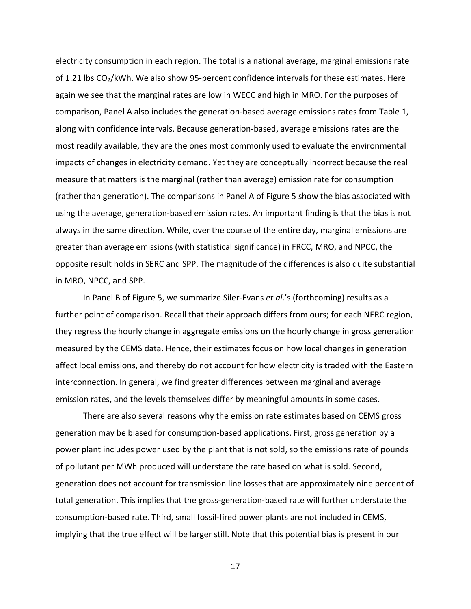electricity consumption in each region. The total is a national average, marginal emissions rate of 1.21 lbs  $CO<sub>2</sub>/kWh$ . We also show 95-percent confidence intervals for these estimates. Here again we see that the marginal rates are low in WECC and high in MRO. For the purposes of comparison, Panel A also includes the generation-based average emissions rates from Table 1, along with confidence intervals. Because generation-based, average emissions rates are the most readily available, they are the ones most commonly used to evaluate the environmental impacts of changes in electricity demand. Yet they are conceptually incorrect because the real measure that matters is the marginal (rather than average) emission rate for consumption (rather than generation). The comparisons in Panel A of Figure 5 show the bias associated with using the average, generation-based emission rates. An important finding is that the bias is not always in the same direction. While, over the course of the entire day, marginal emissions are greater than average emissions (with statistical significance) in FRCC, MRO, and NPCC, the opposite result holds in SERC and SPP. The magnitude of the differences is also quite substantial in MRO, NPCC, and SPP.

In Panel B of Figure 5, we summarize Siler-Evans *et al*.'s (forthcoming) results as a further point of comparison. Recall that their approach differs from ours; for each NERC region, they regress the hourly change in aggregate emissions on the hourly change in gross generation measured by the CEMS data. Hence, their estimates focus on how local changes in generation affect local emissions, and thereby do not account for how electricity is traded with the Eastern interconnection. In general, we find greater differences between marginal and average emission rates, and the levels themselves differ by meaningful amounts in some cases.

There are also several reasons why the emission rate estimates based on CEMS gross generation may be biased for consumption-based applications. First, gross generation by a power plant includes power used by the plant that is not sold, so the emissions rate of pounds of pollutant per MWh produced will understate the rate based on what is sold. Second, generation does not account for transmission line losses that are approximately nine percent of total generation. This implies that the gross-generation-based rate will further understate the consumption-based rate. Third, small fossil-fired power plants are not included in CEMS, implying that the true effect will be larger still. Note that this potential bias is present in our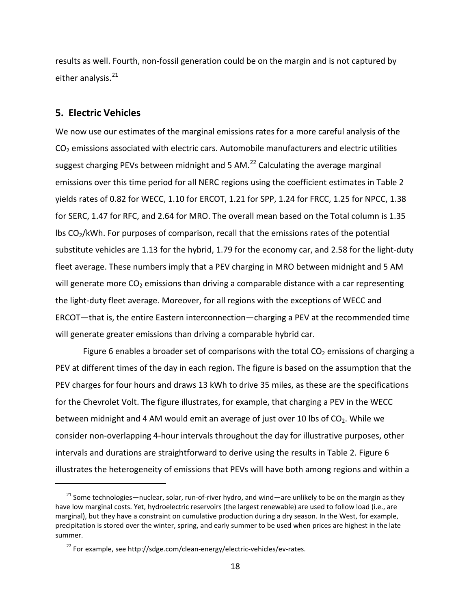results as well. Fourth, non-fossil generation could be on the margin and is not captured by either analysis.<sup>[21](#page-19-0)</sup>

## **5. Electric Vehicles**

 $\overline{a}$ 

We now use our estimates of the marginal emissions rates for a more careful analysis of the  $CO<sub>2</sub>$  emissions associated with electric cars. Automobile manufacturers and electric utilities suggest charging PEVs between midnight and 5 AM. $^{22}$  $^{22}$  $^{22}$  Calculating the average marginal emissions over this time period for all NERC regions using the coefficient estimates in Table 2 yields rates of 0.82 for WECC, 1.10 for ERCOT, 1.21 for SPP, 1.24 for FRCC, 1.25 for NPCC, 1.38 for SERC, 1.47 for RFC, and 2.64 for MRO. The overall mean based on the Total column is 1.35 lbs CO<sub>2</sub>/kWh. For purposes of comparison, recall that the emissions rates of the potential substitute vehicles are 1.13 for the hybrid, 1.79 for the economy car, and 2.58 for the light-duty fleet average. These numbers imply that a PEV charging in MRO between midnight and 5 AM will generate more  $CO<sub>2</sub>$  emissions than driving a comparable distance with a car representing the light-duty fleet average. Moreover, for all regions with the exceptions of WECC and ERCOT—that is, the entire Eastern interconnection—charging a PEV at the recommended time will generate greater emissions than driving a comparable hybrid car.

Figure 6 enables a broader set of comparisons with the total  $CO<sub>2</sub>$  emissions of charging a PEV at different times of the day in each region. The figure is based on the assumption that the PEV charges for four hours and draws 13 kWh to drive 35 miles, as these are the specifications for the Chevrolet Volt. The figure illustrates, for example, that charging a PEV in the WECC between midnight and 4 AM would emit an average of just over 10 lbs of  $CO<sub>2</sub>$ . While we consider non-overlapping 4-hour intervals throughout the day for illustrative purposes, other intervals and durations are straightforward to derive using the results in Table 2. Figure 6 illustrates the heterogeneity of emissions that PEVs will have both among regions and within a

<span id="page-19-0"></span><sup>&</sup>lt;sup>21</sup> Some technologies—nuclear, solar, run-of-river hydro, and wind—are unlikely to be on the margin as they have low marginal costs. Yet, hydroelectric reservoirs (the largest renewable) are used to follow load (i.e., are marginal), but they have a constraint on cumulative production during a dry season. In the West, for example, precipitation is stored over the winter, spring, and early summer to be used when prices are highest in the late summer.

<span id="page-19-1"></span> $22$  For example, see http://sdge.com/clean-energy/electric-vehicles/ev-rates.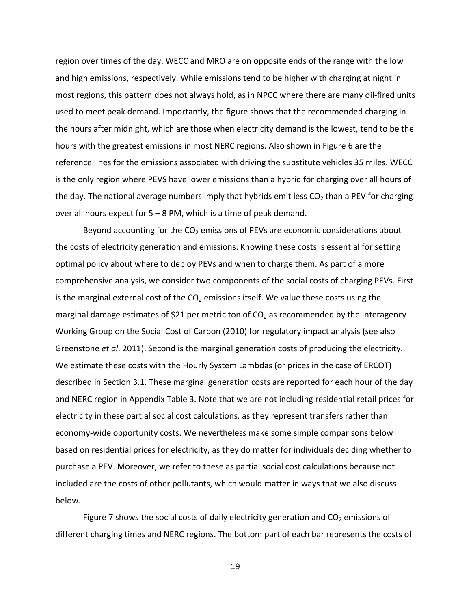region over times of the day. WECC and MRO are on opposite ends of the range with the low and high emissions, respectively. While emissions tend to be higher with charging at night in most regions, this pattern does not always hold, as in NPCC where there are many oil-fired units used to meet peak demand. Importantly, the figure shows that the recommended charging in the hours after midnight, which are those when electricity demand is the lowest, tend to be the hours with the greatest emissions in most NERC regions. Also shown in Figure 6 are the reference lines for the emissions associated with driving the substitute vehicles 35 miles. WECC is the only region where PEVS have lower emissions than a hybrid for charging over all hours of the day. The national average numbers imply that hybrids emit less  $CO<sub>2</sub>$  than a PEV for charging over all hours expect for 5 – 8 PM, which is a time of peak demand.

Beyond accounting for the  $CO<sub>2</sub>$  emissions of PEVs are economic considerations about the costs of electricity generation and emissions. Knowing these costs is essential for setting optimal policy about where to deploy PEVs and when to charge them. As part of a more comprehensive analysis, we consider two components of the social costs of charging PEVs. First is the marginal external cost of the  $CO<sub>2</sub>$  emissions itself. We value these costs using the marginal damage estimates of \$21 per metric ton of  $CO<sub>2</sub>$  as recommended by the Interagency Working Group on the Social Cost of Carbon (2010) for regulatory impact analysis (see also Greenstone *et al*. 2011). Second is the marginal generation costs of producing the electricity. We estimate these costs with the Hourly System Lambdas (or prices in the case of ERCOT) described in Section 3.1. These marginal generation costs are reported for each hour of the day and NERC region in Appendix Table 3. Note that we are not including residential retail prices for electricity in these partial social cost calculations, as they represent transfers rather than economy-wide opportunity costs. We nevertheless make some simple comparisons below based on residential prices for electricity, as they do matter for individuals deciding whether to purchase a PEV. Moreover, we refer to these as partial social cost calculations because not included are the costs of other pollutants, which would matter in ways that we also discuss below.

Figure 7 shows the social costs of daily electricity generation and  $CO<sub>2</sub>$  emissions of different charging times and NERC regions. The bottom part of each bar represents the costs of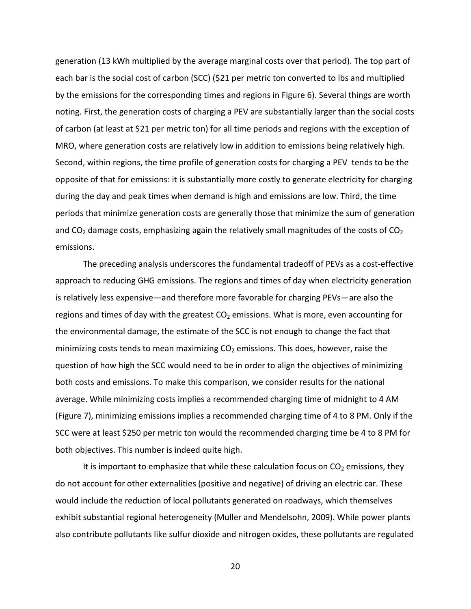generation (13 kWh multiplied by the average marginal costs over that period). The top part of each bar is the social cost of carbon (SCC) (\$21 per metric ton converted to lbs and multiplied by the emissions for the corresponding times and regions in Figure 6). Several things are worth noting. First, the generation costs of charging a PEV are substantially larger than the social costs of carbon (at least at \$21 per metric ton) for all time periods and regions with the exception of MRO, where generation costs are relatively low in addition to emissions being relatively high. Second, within regions, the time profile of generation costs for charging a PEV tends to be the opposite of that for emissions: it is substantially more costly to generate electricity for charging during the day and peak times when demand is high and emissions are low. Third, the time periods that minimize generation costs are generally those that minimize the sum of generation and  $CO<sub>2</sub>$  damage costs, emphasizing again the relatively small magnitudes of the costs of  $CO<sub>2</sub>$ emissions.

The preceding analysis underscores the fundamental tradeoff of PEVs as a cost-effective approach to reducing GHG emissions. The regions and times of day when electricity generation is relatively less expensive—and therefore more favorable for charging PEVs—are also the regions and times of day with the greatest  $CO<sub>2</sub>$  emissions. What is more, even accounting for the environmental damage, the estimate of the SCC is not enough to change the fact that minimizing costs tends to mean maximizing  $CO<sub>2</sub>$  emissions. This does, however, raise the question of how high the SCC would need to be in order to align the objectives of minimizing both costs and emissions. To make this comparison, we consider results for the national average. While minimizing costs implies a recommended charging time of midnight to 4 AM (Figure 7), minimizing emissions implies a recommended charging time of 4 to 8 PM. Only if the SCC were at least \$250 per metric ton would the recommended charging time be 4 to 8 PM for both objectives. This number is indeed quite high.

It is important to emphasize that while these calculation focus on  $CO<sub>2</sub>$  emissions, they do not account for other externalities (positive and negative) of driving an electric car. These would include the reduction of local pollutants generated on roadways, which themselves exhibit substantial regional heterogeneity (Muller and Mendelsohn, 2009). While power plants also contribute pollutants like sulfur dioxide and nitrogen oxides, these pollutants are regulated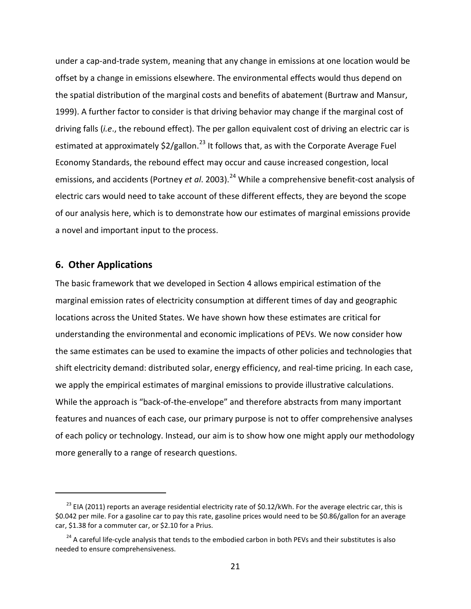under a cap-and-trade system, meaning that any change in emissions at one location would be offset by a change in emissions elsewhere. The environmental effects would thus depend on the spatial distribution of the marginal costs and benefits of abatement (Burtraw and Mansur, 1999). A further factor to consider is that driving behavior may change if the marginal cost of driving falls (*i.e*., the rebound effect). The per gallon equivalent cost of driving an electric car is estimated at approximately  $$2/g$ allon.<sup>[23](#page-22-0)</sup> It follows that, as with the Corporate Average Fuel Economy Standards, the rebound effect may occur and cause increased congestion, local emissions, and accidents (Portney *et al.* 2003).<sup>[24](#page-22-1)</sup> While a comprehensive benefit-cost analysis of electric cars would need to take account of these different effects, they are beyond the scope of our analysis here, which is to demonstrate how our estimates of marginal emissions provide a novel and important input to the process.

## **6. Other Applications**

 $\overline{a}$ 

The basic framework that we developed in Section 4 allows empirical estimation of the marginal emission rates of electricity consumption at different times of day and geographic locations across the United States. We have shown how these estimates are critical for understanding the environmental and economic implications of PEVs. We now consider how the same estimates can be used to examine the impacts of other policies and technologies that shift electricity demand: distributed solar, energy efficiency, and real-time pricing. In each case, we apply the empirical estimates of marginal emissions to provide illustrative calculations. While the approach is "back-of-the-envelope" and therefore abstracts from many important features and nuances of each case, our primary purpose is not to offer comprehensive analyses of each policy or technology. Instead, our aim is to show how one might apply our methodology more generally to a range of research questions.

<span id="page-22-0"></span> $^{23}$  EIA (2011) reports an average residential electricity rate of \$0.12/kWh. For the average electric car, this is \$0.042 per mile. For a gasoline car to pay this rate, gasoline prices would need to be \$0.86/gallon for an average car, \$1.38 for a commuter car, or \$2.10 for a Prius.

<span id="page-22-1"></span><sup>&</sup>lt;sup>24</sup> A careful life-cycle analysis that tends to the embodied carbon in both PEVs and their substitutes is also needed to ensure comprehensiveness.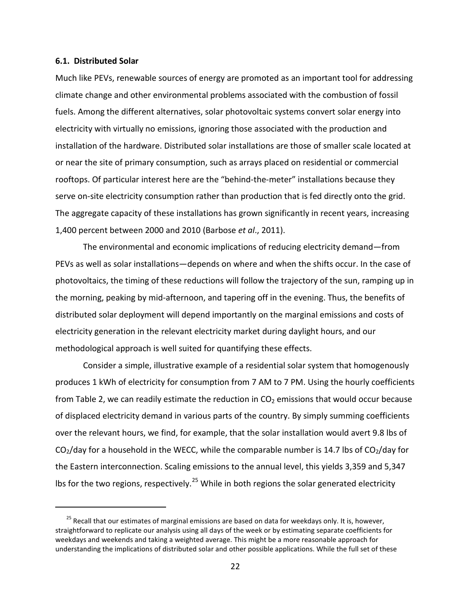#### **6.1. Distributed Solar**

 $\overline{a}$ 

Much like PEVs, renewable sources of energy are promoted as an important tool for addressing climate change and other environmental problems associated with the combustion of fossil fuels. Among the different alternatives, solar photovoltaic systems convert solar energy into electricity with virtually no emissions, ignoring those associated with the production and installation of the hardware. Distributed solar installations are those of smaller scale located at or near the site of primary consumption, such as arrays placed on residential or commercial rooftops. Of particular interest here are the "behind-the-meter" installations because they serve on-site electricity consumption rather than production that is fed directly onto the grid. The aggregate capacity of these installations has grown significantly in recent years, increasing 1,400 percent between 2000 and 2010 (Barbose *et al*., 2011).

The environmental and economic implications of reducing electricity demand—from PEVs as well as solar installations—depends on where and when the shifts occur. In the case of photovoltaics, the timing of these reductions will follow the trajectory of the sun, ramping up in the morning, peaking by mid-afternoon, and tapering off in the evening. Thus, the benefits of distributed solar deployment will depend importantly on the marginal emissions and costs of electricity generation in the relevant electricity market during daylight hours, and our methodological approach is well suited for quantifying these effects.

Consider a simple, illustrative example of a residential solar system that homogenously produces 1 kWh of electricity for consumption from 7 AM to 7 PM. Using the hourly coefficients from Table 2, we can readily estimate the reduction in  $CO<sub>2</sub>$  emissions that would occur because of displaced electricity demand in various parts of the country. By simply summing coefficients over the relevant hours, we find, for example, that the solar installation would avert 9.8 lbs of  $CO<sub>2</sub>/day$  for a household in the WECC, while the comparable number is 14.7 lbs of  $CO<sub>2</sub>/day$  for the Eastern interconnection. Scaling emissions to the annual level, this yields 3,359 and 5,347 Ibs for the two regions, respectively.<sup>[25](#page-23-0)</sup> While in both regions the solar generated electricity

<span id="page-23-0"></span><sup>&</sup>lt;sup>25</sup> Recall that our estimates of marginal emissions are based on data for weekdays only. It is, however, straightforward to replicate our analysis using all days of the week or by estimating separate coefficients for weekdays and weekends and taking a weighted average. This might be a more reasonable approach for understanding the implications of distributed solar and other possible applications. While the full set of these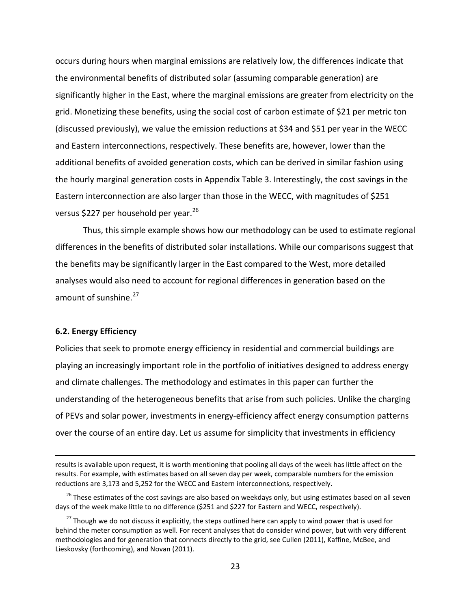occurs during hours when marginal emissions are relatively low, the differences indicate that the environmental benefits of distributed solar (assuming comparable generation) are significantly higher in the East, where the marginal emissions are greater from electricity on the grid. Monetizing these benefits, using the social cost of carbon estimate of \$21 per metric ton (discussed previously), we value the emission reductions at \$34 and \$51 per year in the WECC and Eastern interconnections, respectively. These benefits are, however, lower than the additional benefits of avoided generation costs, which can be derived in similar fashion using the hourly marginal generation costs in Appendix Table 3. Interestingly, the cost savings in the Eastern interconnection are also larger than those in the WECC, with magnitudes of \$251 versus \$227 per household per year.<sup>[26](#page-24-0)</sup>

Thus, this simple example shows how our methodology can be used to estimate regional differences in the benefits of distributed solar installations. While our comparisons suggest that the benefits may be significantly larger in the East compared to the West, more detailed analyses would also need to account for regional differences in generation based on the amount of sunshine. $27$ 

### **6.2. Energy Efficiency**

 $\overline{a}$ 

Policies that seek to promote energy efficiency in residential and commercial buildings are playing an increasingly important role in the portfolio of initiatives designed to address energy and climate challenges. The methodology and estimates in this paper can further the understanding of the heterogeneous benefits that arise from such policies. Unlike the charging of PEVs and solar power, investments in energy-efficiency affect energy consumption patterns over the course of an entire day. Let us assume for simplicity that investments in efficiency

results is available upon request, it is worth mentioning that pooling all days of the week has little affect on the results. For example, with estimates based on all seven day per week, comparable numbers for the emission reductions are 3,173 and 5,252 for the WECC and Eastern interconnections, respectively.

<span id="page-24-0"></span><sup>&</sup>lt;sup>26</sup> These estimates of the cost savings are also based on weekdays only, but using estimates based on all seven days of the week make little to no difference (\$251 and \$227 for Eastern and WECC, respectively).

<span id="page-24-1"></span><sup>&</sup>lt;sup>27</sup> Though we do not discuss it explicitly, the steps outlined here can apply to wind power that is used for behind the meter consumption as well. For recent analyses that do consider wind power, but with very different methodologies and for generation that connects directly to the grid, see Cullen (2011), Kaffine, McBee, and Lieskovsky (forthcoming), and Novan (2011).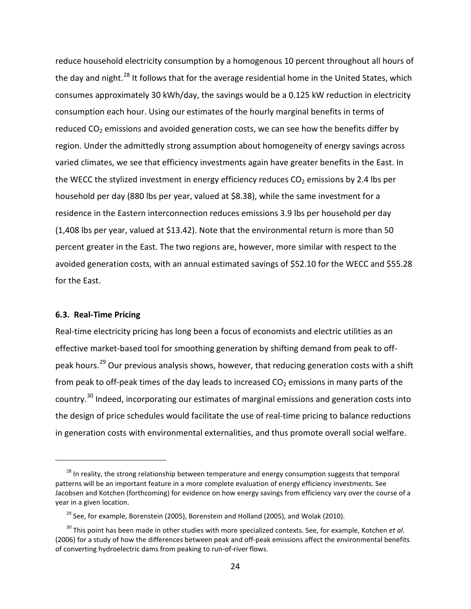reduce household electricity consumption by a homogenous 10 percent throughout all hours of the day and night.<sup>[28](#page-25-0)</sup> It follows that for the average residential home in the United States, which consumes approximately 30 kWh/day, the savings would be a 0.125 kW reduction in electricity consumption each hour. Using our estimates of the hourly marginal benefits in terms of reduced  $CO<sub>2</sub>$  emissions and avoided generation costs, we can see how the benefits differ by region. Under the admittedly strong assumption about homogeneity of energy savings across varied climates, we see that efficiency investments again have greater benefits in the East. In the WECC the stylized investment in energy efficiency reduces  $CO<sub>2</sub>$  emissions by 2.4 lbs per household per day (880 lbs per year, valued at \$8.38), while the same investment for a residence in the Eastern interconnection reduces emissions 3.9 lbs per household per day (1,408 lbs per year, valued at \$13.42). Note that the environmental return is more than 50 percent greater in the East. The two regions are, however, more similar with respect to the avoided generation costs, with an annual estimated savings of \$52.10 for the WECC and \$55.28 for the East.

#### **6.3. Real-Time Pricing**

 $\overline{a}$ 

Real-time electricity pricing has long been a focus of economists and electric utilities as an effective market-based tool for smoothing generation by shifting demand from peak to off-peak hours.<sup>[29](#page-25-1)</sup> Our previous analysis shows, however, that reducing generation costs with a shift from peak to off-peak times of the day leads to increased  $CO<sub>2</sub>$  emissions in many parts of the country.<sup>[30](#page-25-2)</sup> Indeed, incorporating our estimates of marginal emissions and generation costs into the design of price schedules would facilitate the use of real-time pricing to balance reductions in generation costs with environmental externalities, and thus promote overall social welfare.

<span id="page-25-0"></span><sup>&</sup>lt;sup>28</sup> In reality, the strong relationship between temperature and energy consumption suggests that temporal patterns will be an important feature in a more complete evaluation of energy efficiency investments. See Jacobsen and Kotchen (forthcoming) for evidence on how energy savings from efficiency vary over the course of a year in a given location.

 $29$  See, for example, Borenstein (2005), Borenstein and Holland (2005), and Wolak (2010).

<span id="page-25-2"></span><span id="page-25-1"></span><sup>30</sup> This point has been made in other studies with more specialized contexts. See, for example, Kotchen *et al*. (2006) for a study of how the differences between peak and off-peak emissions affect the environmental benefits of converting hydroelectric dams from peaking to run-of-river flows.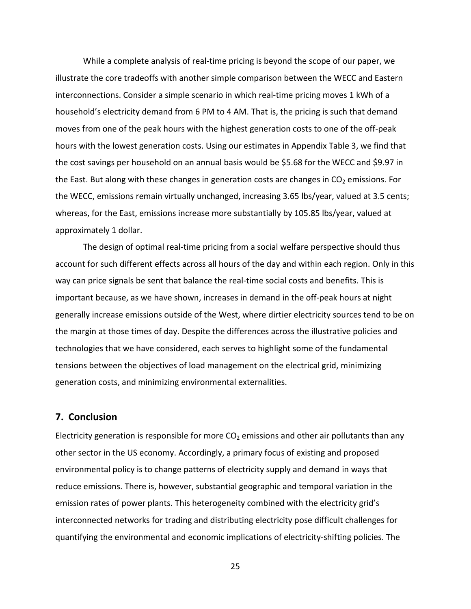While a complete analysis of real-time pricing is beyond the scope of our paper, we illustrate the core tradeoffs with another simple comparison between the WECC and Eastern interconnections. Consider a simple scenario in which real-time pricing moves 1 kWh of a household's electricity demand from 6 PM to 4 AM. That is, the pricing is such that demand moves from one of the peak hours with the highest generation costs to one of the off-peak hours with the lowest generation costs. Using our estimates in Appendix Table 3, we find that the cost savings per household on an annual basis would be \$5.68 for the WECC and \$9.97 in the East. But along with these changes in generation costs are changes in  $CO<sub>2</sub>$  emissions. For the WECC, emissions remain virtually unchanged, increasing 3.65 lbs/year, valued at 3.5 cents; whereas, for the East, emissions increase more substantially by 105.85 lbs/year, valued at approximately 1 dollar.

The design of optimal real-time pricing from a social welfare perspective should thus account for such different effects across all hours of the day and within each region. Only in this way can price signals be sent that balance the real-time social costs and benefits. This is important because, as we have shown, increases in demand in the off-peak hours at night generally increase emissions outside of the West, where dirtier electricity sources tend to be on the margin at those times of day. Despite the differences across the illustrative policies and technologies that we have considered, each serves to highlight some of the fundamental tensions between the objectives of load management on the electrical grid, minimizing generation costs, and minimizing environmental externalities.

## **7. Conclusion**

Electricity generation is responsible for more  $CO<sub>2</sub>$  emissions and other air pollutants than any other sector in the US economy. Accordingly, a primary focus of existing and proposed environmental policy is to change patterns of electricity supply and demand in ways that reduce emissions. There is, however, substantial geographic and temporal variation in the emission rates of power plants. This heterogeneity combined with the electricity grid's interconnected networks for trading and distributing electricity pose difficult challenges for quantifying the environmental and economic implications of electricity-shifting policies. The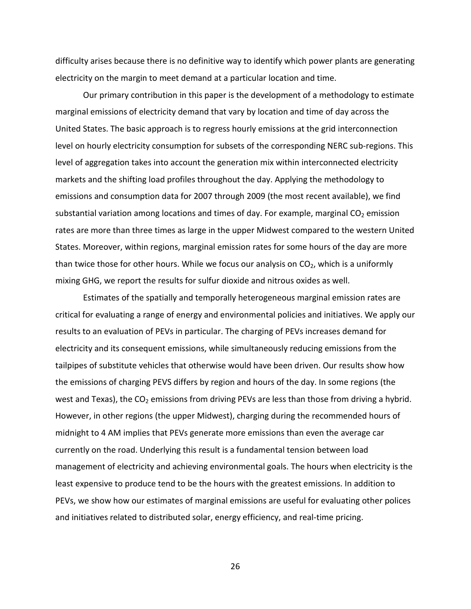difficulty arises because there is no definitive way to identify which power plants are generating electricity on the margin to meet demand at a particular location and time.

Our primary contribution in this paper is the development of a methodology to estimate marginal emissions of electricity demand that vary by location and time of day across the United States. The basic approach is to regress hourly emissions at the grid interconnection level on hourly electricity consumption for subsets of the corresponding NERC sub-regions. This level of aggregation takes into account the generation mix within interconnected electricity markets and the shifting load profiles throughout the day. Applying the methodology to emissions and consumption data for 2007 through 2009 (the most recent available), we find substantial variation among locations and times of day. For example, marginal  $CO<sub>2</sub>$  emission rates are more than three times as large in the upper Midwest compared to the western United States. Moreover, within regions, marginal emission rates for some hours of the day are more than twice those for other hours. While we focus our analysis on  $CO<sub>2</sub>$ , which is a uniformly mixing GHG, we report the results for sulfur dioxide and nitrous oxides as well.

Estimates of the spatially and temporally heterogeneous marginal emission rates are critical for evaluating a range of energy and environmental policies and initiatives. We apply our results to an evaluation of PEVs in particular. The charging of PEVs increases demand for electricity and its consequent emissions, while simultaneously reducing emissions from the tailpipes of substitute vehicles that otherwise would have been driven. Our results show how the emissions of charging PEVS differs by region and hours of the day. In some regions (the west and Texas), the  $CO<sub>2</sub>$  emissions from driving PEVs are less than those from driving a hybrid. However, in other regions (the upper Midwest), charging during the recommended hours of midnight to 4 AM implies that PEVs generate more emissions than even the average car currently on the road. Underlying this result is a fundamental tension between load management of electricity and achieving environmental goals. The hours when electricity is the least expensive to produce tend to be the hours with the greatest emissions. In addition to PEVs, we show how our estimates of marginal emissions are useful for evaluating other polices and initiatives related to distributed solar, energy efficiency, and real-time pricing.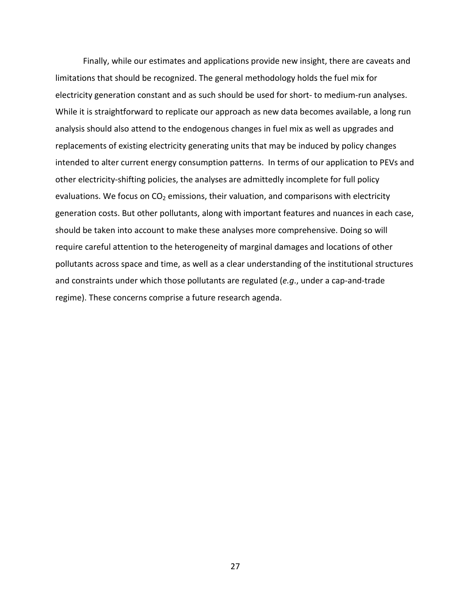Finally, while our estimates and applications provide new insight, there are caveats and limitations that should be recognized. The general methodology holds the fuel mix for electricity generation constant and as such should be used for short- to medium-run analyses. While it is straightforward to replicate our approach as new data becomes available, a long run analysis should also attend to the endogenous changes in fuel mix as well as upgrades and replacements of existing electricity generating units that may be induced by policy changes intended to alter current energy consumption patterns. In terms of our application to PEVs and other electricity-shifting policies, the analyses are admittedly incomplete for full policy evaluations. We focus on  $CO<sub>2</sub>$  emissions, their valuation, and comparisons with electricity generation costs. But other pollutants, along with important features and nuances in each case, should be taken into account to make these analyses more comprehensive. Doing so will require careful attention to the heterogeneity of marginal damages and locations of other pollutants across space and time, as well as a clear understanding of the institutional structures and constraints under which those pollutants are regulated (*e.g*., under a cap-and-trade regime). These concerns comprise a future research agenda.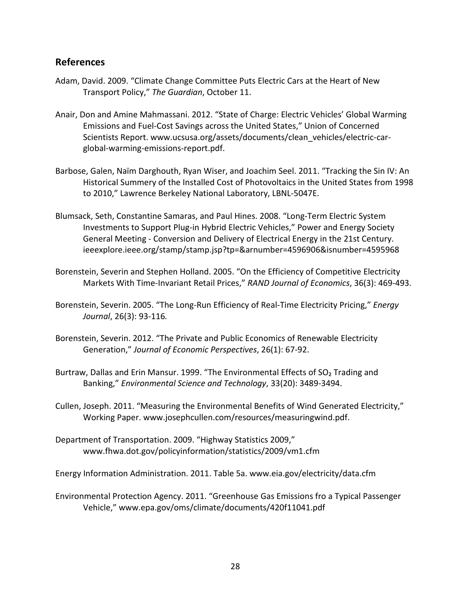# **References**

- Adam, David. 2009. "Climate Change Committee Puts Electric Cars at the Heart of New Transport Policy," *The Guardian*, October 11.
- Anair, Don and Amine Mahmassani. 2012. "State of Charge: Electric Vehicles' Global Warming Emissions and Fuel-Cost Savings across the United States," Union of Concerned Scientists Report. www.ucsusa.org/assets/documents/clean\_vehicles/electric-carglobal-warming-emissions-report.pdf.
- Barbose, Galen, Naïm Darghouth, Ryan Wiser, and Joachim Seel. 2011. "Tracking the Sin IV: An Historical Summery of the Installed Cost of Photovoltaics in the United States from 1998 to 2010," Lawrence Berkeley National Laboratory, LBNL-5047E.
- Blumsack, Seth, Constantine Samaras, and Paul Hines. 2008. "Long-Term Electric System Investments to Support Plug-in Hybrid Electric Vehicles," Power and Energy Society General Meeting - Conversion and Delivery of Electrical Energy in the 21st Century. ieeexplore.ieee.org/stamp/stamp.jsp?tp=&arnumber=4596906&isnumber=4595968
- Borenstein, Severin and Stephen Holland. 2005. "On the Efficiency of Competitive Electricity Markets With Time-Invariant Retail Prices," *[RAND Journal of Economics](http://www.rje.org/)*, 36(3): 469-493.
- Borenstein, Severin. 2005. "The Long-Run Efficiency of Real-Time Electricity Pricing," *Energy Journal*, 26(3): 93-116*.*
- Borenstein, Severin. 2012. "The Private and Public Economics of Renewable Electricity Generation," *Journal of Economic Perspectives*, 26(1): 67-92.
- Burtraw, Dallas and Erin Mansur. 1999. "The Environmental Effects of SO<sub>2</sub> Trading and Banking," *Environmental Science and Technology*, 33(20): 3489-3494.
- Cullen, Joseph. 2011. "Measuring the Environmental Benefits of Wind Generated Electricity," Working Paper. www.josephcullen.com/resources/measuringwind.pdf.
- Department of Transportation. 2009. "Highway Statistics 2009," www.fhwa.dot.gov/policyinformation/statistics/2009/vm1.cfm
- Energy Information Administration. 2011. Table 5a. www.eia.gov/electricity/data.cfm
- Environmental Protection Agency. 2011. "Greenhouse Gas Emissions fro a Typical Passenger Vehicle," www.epa.gov/oms/climate/documents/420f11041.pdf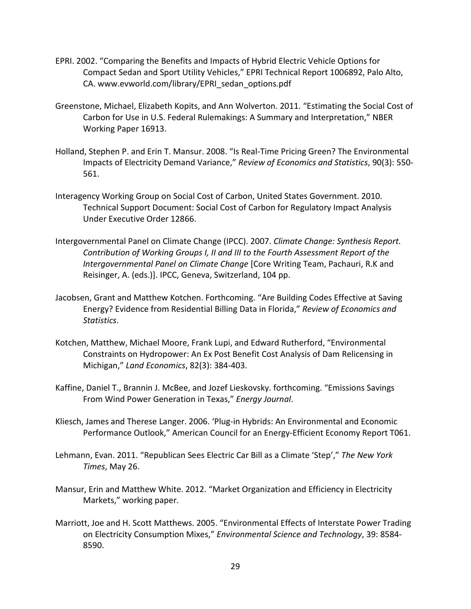- EPRI. 2002. "Comparing the Benefits and Impacts of Hybrid Electric Vehicle Options for Compact Sedan and Sport Utility Vehicles," EPRI Technical Report 1006892, Palo Alto, CA. www.evworld.com/library/EPRI\_sedan\_options.pdf
- Greenstone, Michael, Elizabeth Kopits, and Ann Wolverton. 2011. "Estimating the Social Cost of Carbon for Use in U.S. Federal Rulemakings: A Summary and Interpretation," NBER Working Paper 16913.
- Holland, Stephen P. and Erin T. Mansur. 2008. "Is Real-Time Pricing Green? The Environmental Impacts of Electricity Demand Variance," *Review of Economics and Statistics*, 90(3): 550- 561.
- Interagency Working Group on Social Cost of Carbon, United States Government. 2010. Technical Support Document: Social Cost of Carbon for Regulatory Impact Analysis Under Executive Order 12866.
- Intergovernmental Panel on Climate Change (IPCC). 2007. *Climate Change: Synthesis Report. Contribution of Working Groups I, II and III to the Fourth Assessment Report of the Intergovernmental Panel on Climate Change* [Core Writing Team, Pachauri, R.K and Reisinger, A. (eds.)]. IPCC, Geneva, Switzerland, 104 pp.
- Jacobsen, Grant and Matthew Kotchen. Forthcoming. "Are Building Codes Effective at Saving Energy? Evidence from Residential Billing Data in Florida," *Review of Economics and Statistics*.
- Kotchen, Matthew, Michael Moore, Frank Lupi, and Edward Rutherford, "Environmental Constraints on Hydropower: An Ex Post Benefit Cost Analysis of Dam Relicensing in Michigan," *Land Economics*, 82(3): 384-403.
- Kaffine, Daniel T., Brannin J. McBee, and Jozef Lieskovsky. forthcoming. "Emissions Savings From Wind Power Generation in Texas," *Energy Journal*.
- Kliesch, James and Therese Langer. 2006. 'Plug-in Hybrids: An Environmental and Economic Performance Outlook," American Council for an Energy-Efficient Economy Report T061.
- Lehmann, Evan. 2011. "Republican Sees Electric Car Bill as a Climate 'Step'," *The New York Times*, May 26.
- Mansur, Erin and Matthew White. 2012. "Market Organization and Efficiency in Electricity Markets," working paper.
- Marriott, Joe and H. Scott Matthews. 2005. "Environmental Effects of Interstate Power Trading on Electricity Consumption Mixes," *Environmental Science and Technology*, 39: 8584- 8590.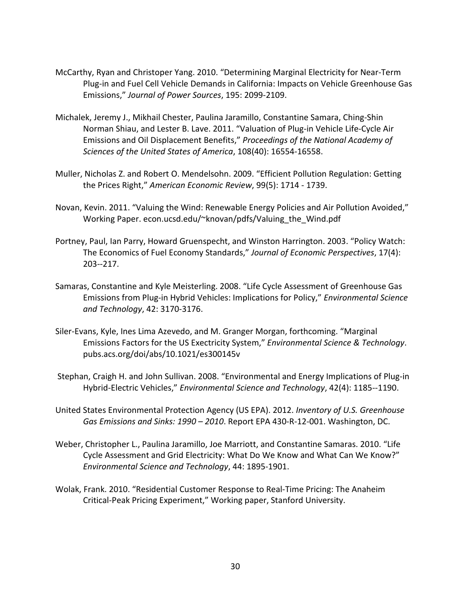- McCarthy, Ryan and Christoper Yang. 2010. "Determining Marginal Electricity for Near-Term Plug-in and Fuel Cell Vehicle Demands in California: Impacts on Vehicle Greenhouse Gas Emissions," *Journal of Power Sources*, 195: 2099-2109.
- Michalek, Jeremy J., Mikhail Chester, Paulina Jaramillo, Constantine Samara, Ching-Shin Norman Shiau, and Lester B. Lave. 2011. "Valuation of Plug-in Vehicle Life-Cycle Air Emissions and Oil Displacement Benefits," *Proceedings of the National Academy of Sciences of the United States of America*, 108(40): 16554-16558.
- Muller, Nicholas Z. and Robert O. Mendelsohn. 2009. "Efficient Pollution Regulation: Getting the Prices Right," *American Economic Review*, 99(5): 1714 - 1739.
- Novan, Kevin. 2011. "Valuing the Wind: Renewable Energy Policies and Air Pollution Avoided," Working Paper. econ.ucsd.edu/~knovan/pdfs/Valuing\_the\_Wind.pdf
- Portney, Paul, Ian Parry, Howard Gruenspecht, and Winston Harrington. 2003. "Policy Watch: The Economics of Fuel Economy Standards," *Journal of Economic Perspectives*, 17(4): 203--217.
- Samaras, Constantine and Kyle Meisterling. 2008. "Life Cycle Assessment of Greenhouse Gas Emissions from Plug-in Hybrid Vehicles: Implications for Policy," *Environmental Science and Technology*, 42: 3170-3176.
- Siler-Evans, Kyle, Ines Lima Azevedo, and M. Granger Morgan, forthcoming. "Marginal Emissions Factors for the US Exectricity System," *Environmental Science & Technology*. pubs.acs.org/doi/abs/10.1021/es300145v
- Stephan, Craigh H. and John Sullivan. 2008. "Environmental and Energy Implications of Plug-in Hybrid-Electric Vehicles," *Environmental Science and Technology*, 42(4): 1185--1190.
- United States Environmental Protection Agency (US EPA). 2012. *Inventory of U.S. Greenhouse Gas Emissions and Sinks: 1990 – 2010*. Report EPA 430-R-12-001. Washington, DC.
- Weber, Christopher L., Paulina Jaramillo, Joe Marriott, and Constantine Samaras. 2010. "Life Cycle Assessment and Grid Electricity: What Do We Know and What Can We Know?" *Environmental Science and Technology*, 44: 1895-1901.
- Wolak, Frank. 2010. "Residential Customer Response to Real-Time Pricing: The Anaheim Critical-Peak Pricing Experiment," Working paper, Stanford University.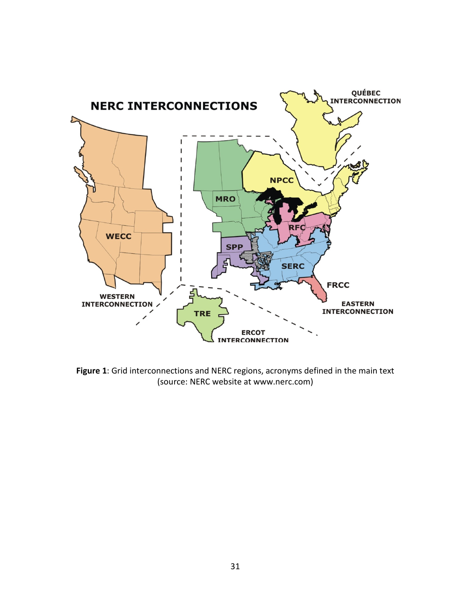

**Figure 1**: Grid interconnections and NERC regions, acronyms defined in the main text (source: NERC website at www.nerc.com)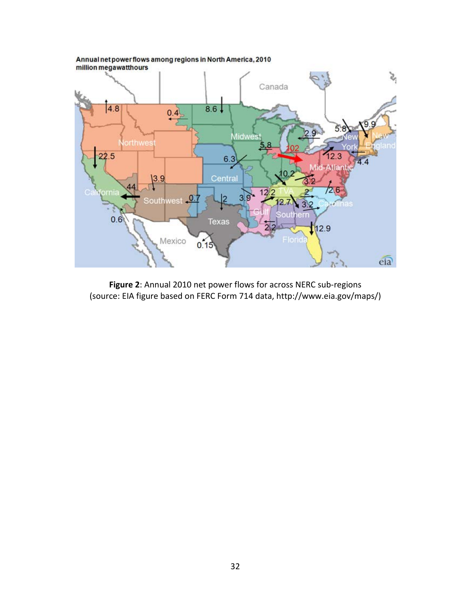

**Figure 2**: Annual 2010 net power flows for across NERC sub-regions (source: EIA figure based on FERC Form 714 data, http://www.eia.gov/maps/)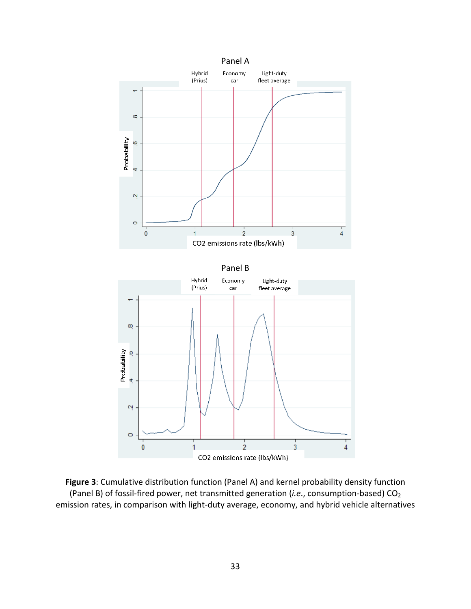

**Figure 3**: Cumulative distribution function (Panel A) and kernel probability density function (Panel B) of fossil-fired power, net transmitted generation (*i.e.*, consumption-based) CO<sub>2</sub> emission rates, in comparison with light-duty average, economy, and hybrid vehicle alternatives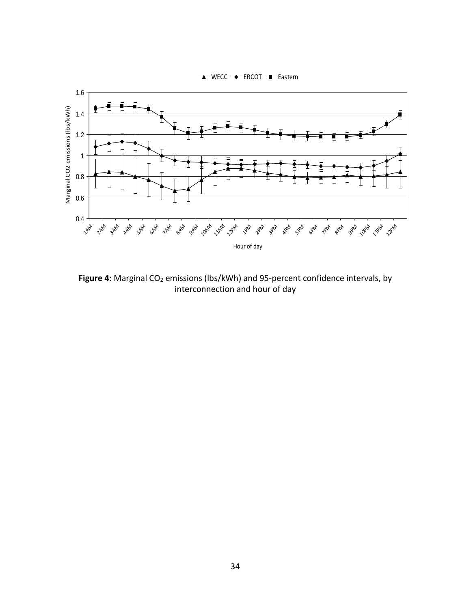

Figure 4: Marginal CO<sub>2</sub> emissions (lbs/kWh) and 95-percent confidence intervals, by interconnection and hour of day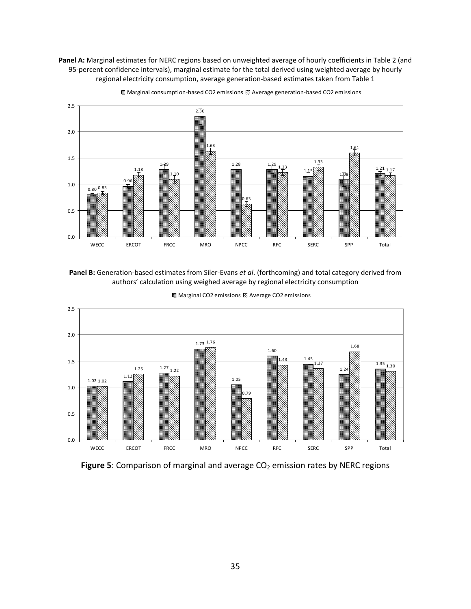#### **Panel A:** Marginal estimates for NERC regions based on unweighted average of hourly coefficients in Table 2 (and 95-percent confidence intervals), marginal estimate for the total derived using weighted average by hourly regional electricity consumption, average generation-based estimates taken from Table 1



Marginal consumption-based CO2 emissions Average generation-based CO2 emissions

**Panel B:** Generation-based estimates from Siler-Evans *et al*. (forthcoming) and total category derived from authors' calculation using weighed average by regional electricity consumption



Marginal CO2 emissions Average CO2 emissions

Figure 5: Comparison of marginal and average CO<sub>2</sub> emission rates by NERC regions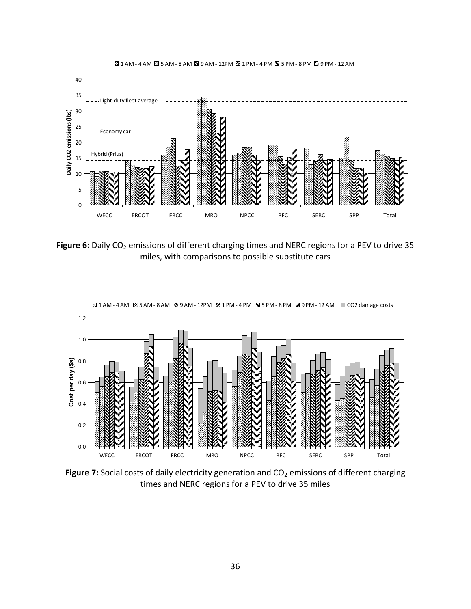

1 AM - 4 AM 5 AM - 8 AM 9 AM - 12PM 1 PM - 4 PM 5 PM - 8 PM 9 PM - 12 AM

Figure 6: Daily CO<sub>2</sub> emissions of different charging times and NERC regions for a PEV to drive 35 miles, with comparisons to possible substitute cars



1 AM - 4 AM 5 AM - 8 AM 9 AM - 12PM 1 PM - 4 PM 5 PM - 8 PM 9 PM - 12 AM CO2 damage costs

Figure 7: Social costs of daily electricity generation and CO<sub>2</sub> emissions of different charging times and NERC regions for a PEV to drive 35 miles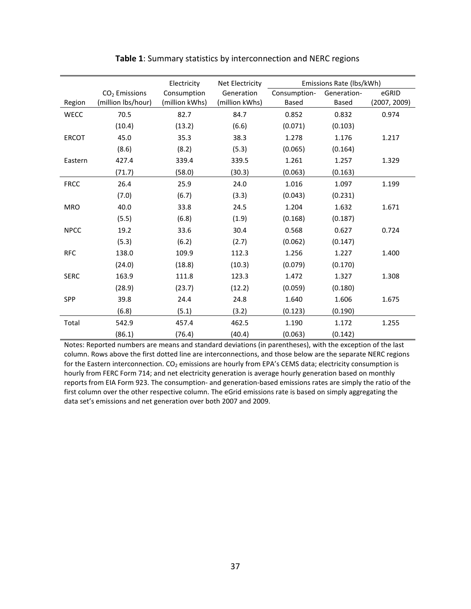|              |                    | Electricity    | Net Electricity |              | Emissions Rate (lbs/kWh) |              |
|--------------|--------------------|----------------|-----------------|--------------|--------------------------|--------------|
|              | $CO2$ Emissions    | Consumption    | Generation      | Consumption- | Generation-              | eGRID        |
| Region       | (million lbs/hour) | (million kWhs) | (million kWhs)  | <b>Based</b> | Based                    | (2007, 2009) |
| WECC         | 70.5               | 82.7           | 84.7            | 0.852        | 0.832                    | 0.974        |
|              | (10.4)             | (13.2)         | (6.6)           | (0.071)      | (0.103)                  |              |
| <b>ERCOT</b> | 45.0               | 35.3           | 38.3            | 1.278        | 1.176                    | 1.217        |
|              | (8.6)              | (8.2)          | (5.3)           | (0.065)      | (0.164)                  |              |
| Eastern      | 427.4              | 339.4          | 339.5           | 1.261        | 1.257                    | 1.329        |
|              | (71.7)             | (58.0)         | (30.3)          | (0.063)      | (0.163)                  |              |
| <b>FRCC</b>  | 26.4               | 25.9           | 24.0            | 1.016        | 1.097                    | 1.199        |
|              | (7.0)              | (6.7)          | (3.3)           | (0.043)      | (0.231)                  |              |
| <b>MRO</b>   | 40.0               | 33.8           | 24.5            | 1.204        | 1.632                    | 1.671        |
|              | (5.5)              | (6.8)          | (1.9)           | (0.168)      | (0.187)                  |              |
| <b>NPCC</b>  | 19.2               | 33.6           | 30.4            | 0.568        | 0.627                    | 0.724        |
|              | (5.3)              | (6.2)          | (2.7)           | (0.062)      | (0.147)                  |              |
| <b>RFC</b>   | 138.0              | 109.9          | 112.3           | 1.256        | 1.227                    | 1.400        |
|              | (24.0)             | (18.8)         | (10.3)          | (0.079)      | (0.170)                  |              |
| <b>SERC</b>  | 163.9              | 111.8          | 123.3           | 1.472        | 1.327                    | 1.308        |
|              | (28.9)             | (23.7)         | (12.2)          | (0.059)      | (0.180)                  |              |
| SPP          | 39.8               | 24.4           | 24.8            | 1.640        | 1.606                    | 1.675        |
|              | (6.8)              | (5.1)          | (3.2)           | (0.123)      | (0.190)                  |              |
| Total        | 542.9              | 457.4          | 462.5           | 1.190        | 1.172                    | 1.255        |
|              | (86.1)             | (76.4)         | (40.4)          | (0.063)      | (0.142)                  |              |

 **Table 1**: Summary statistics by interconnection and NERC regions

Notes: Reported numbers are means and standard deviations (in parentheses), with the exception of the last column. Rows above the first dotted line are interconnections, and those below are the separate NERC regions for the Eastern interconnection.  $CO_2$  emissions are hourly from EPA's CEMS data; electricity consumption is hourly from FERC Form 714; and net electricity generation is average hourly generation based on monthly reports from EIA Form 923. The consumption- and generation-based emissions rates are simply the ratio of the first column over the other respective column. The eGrid emissions rate is based on simply aggregating the data set's emissions and net generation over both 2007 and 2009.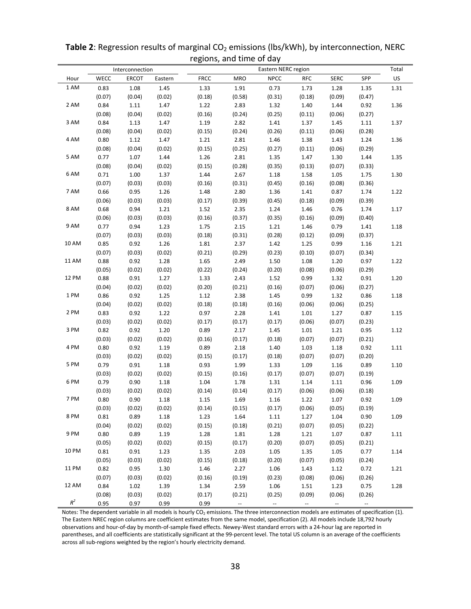|              |        | Interconnection |                |                |                          | Eastern NERC region      |                          |                          |                          | Total    |
|--------------|--------|-----------------|----------------|----------------|--------------------------|--------------------------|--------------------------|--------------------------|--------------------------|----------|
| Hour         | WECC   | <b>ERCOT</b>    | Eastern        | <b>FRCC</b>    | <b>MRO</b>               | <b>NPCC</b>              | <b>RFC</b>               | <b>SERC</b>              | SPP                      | US       |
| 1 AM         | 0.83   | 1.08            | 1.45           | 1.33           | 1.91                     | 0.73                     | 1.73                     | 1.28                     | 1.35                     | 1.31     |
|              | (0.07) | (0.04)          | (0.02)         | (0.18)         | (0.58)                   | (0.31)                   | (0.18)                   | (0.09)                   | (0.47)                   |          |
| 2 AM         | 0.84   | 1.11            | 1.47           | 1.22           | 2.83                     | 1.32                     | 1.40                     | 1.44                     | 0.92                     | 1.36     |
|              | (0.08) | (0.04)          | (0.02)         | (0.16)         | (0.24)                   | (0.25)                   | (0.11)                   | (0.06)                   | (0.27)                   |          |
| 3 AM         | 0.84   | 1.13            | 1.47           | 1.19           | 2.82                     | 1.41                     | 1.37                     | 1.45                     | 1.11                     | 1.37     |
|              | (0.08) | (0.04)          | (0.02)         | (0.15)         | (0.24)                   | (0.26)                   | (0.11)                   | (0.06)                   | (0.28)                   |          |
| 4 AM         | 0.80   | 1.12            | 1.47           | 1.21           | 2.81                     | 1.46                     | 1.38                     | 1.43                     | 1.24                     | 1.36     |
|              | (0.08) | (0.04)          | (0.02)         | (0.15)         | (0.25)                   | (0.27)                   | (0.11)                   | (0.06)                   | (0.29)                   |          |
| 5 AM         | 0.77   | 1.07            | 1.44           | 1.26           | 2.81                     | 1.35                     | 1.47                     | 1.30                     | 1.44                     | 1.35     |
|              | (0.08) | (0.04)          | (0.02)         | (0.15)         | (0.28)                   | (0.35)                   | (0.13)                   | (0.07)                   | (0.33)                   |          |
| 6 AM         | 0.71   | 1.00            | 1.37           | 1.44           | 2.67                     | 1.18                     | 1.58                     | 1.05                     | 1.75                     | 1.30     |
|              | (0.07) | (0.03)          | (0.03)         | (0.16)         | (0.31)                   | (0.45)                   | (0.16)                   | (0.08)                   | (0.36)                   |          |
| 7 AM         | 0.66   | 0.95            | 1.26           | 1.48           | 2.80                     | 1.36                     | 1.41                     | 0.87                     | 1.74                     | 1.22     |
|              | (0.06) | (0.03)          | (0.03)         | (0.17)         | (0.39)                   | (0.45)                   | (0.18)                   | (0.09)                   | (0.39)                   |          |
| 8 AM         | 0.68   | 0.94            | 1.21           | 1.52           | 2.35                     | 1.24                     | 1.46                     | 0.76                     | 1.74                     | 1.17     |
|              | (0.06) | (0.03)          | (0.03)         | (0.16)         | (0.37)                   | (0.35)                   | (0.16)                   | (0.09)                   | (0.40)                   |          |
| 9 AM         | 0.77   | 0.94            | 1.23           | 1.75           | 2.15                     | 1.21                     | 1.46                     | 0.79                     | 1.41                     | $1.18\,$ |
|              | (0.07) | (0.03)          | (0.03)         | (0.18)         | (0.31)                   | (0.28)                   | (0.12)                   | (0.09)                   | (0.37)                   |          |
| 10 AM        | 0.85   | 0.92            | 1.26           | 1.81           | 2.37                     | 1.42                     | 1.25                     | 0.99                     | 1.16                     | 1.21     |
|              | (0.07) | (0.03)          | (0.02)         | (0.21)         | (0.29)                   | (0.23)                   | (0.10)                   | (0.07)                   | (0.34)                   |          |
| <b>11 AM</b> | 0.88   | 0.92            | 1.28           | 1.65           | 2.49                     | 1.50                     | 1.08                     | 1.20                     | 0.97                     | 1.22     |
|              | (0.05) | (0.02)          | (0.02)         | (0.22)         | (0.24)                   | (0.20)                   | (0.08)                   | (0.06)                   | (0.29)                   |          |
| 12 PM        | 0.88   | 0.91            | 1.27           | 1.33           | 2.43                     | 1.52                     | 0.99                     | 1.32                     | 0.91                     | 1.20     |
|              | (0.04) | (0.02)          | (0.02)         | (0.20)         | (0.21)                   | (0.16)                   | (0.07)                   | (0.06)                   | (0.27)                   |          |
| $1 P M$      | 0.86   | 0.92            | 1.25           | 1.12           | 2.38                     | 1.45                     | 0.99                     | 1.32                     | 0.86                     | 1.18     |
|              | (0.04) | (0.02)          | (0.02)         | (0.18)         | (0.18)                   | (0.16)                   | (0.06)                   | (0.06)                   | (0.25)                   |          |
| 2 PM         | 0.83   | 0.92            | 1.22           | 0.97           | 2.28                     | 1.41                     | 1.01                     | 1.27                     | 0.87                     | 1.15     |
|              | (0.03) | (0.02)          | (0.02)         | (0.17)         | (0.17)                   | (0.17)                   | (0.06)                   | (0.07)                   | (0.23)                   |          |
| 3 PM         | 0.82   | 0.92            | 1.20           | 0.89           | 2.17                     | 1.45                     | 1.01                     | 1.21                     | 0.95                     | $1.12\,$ |
|              | (0.03) | (0.02)          | (0.02)         | (0.16)         | (0.17)                   | (0.18)                   | (0.07)                   | (0.07)                   | (0.21)                   |          |
| 4 PM         | 0.80   | 0.92            | 1.19           | 0.89           | 2.18                     | 1.40                     | 1.03                     | $1.18\,$                 | 0.92                     | $1.11\,$ |
|              | (0.03) | (0.02)          | (0.02)         | (0.15)         | (0.17)                   | (0.18)                   | (0.07)                   | (0.07)                   | (0.20)                   |          |
| 5 PM         | 0.79   | 0.91            | 1.18           | 0.93           | 1.99                     | 1.33                     | 1.09                     | 1.16                     | 0.89                     | 1.10     |
|              | (0.03) | (0.02)          | (0.02)         | (0.15)         | (0.16)                   | (0.17)                   | (0.07)                   | (0.07)                   | (0.19)                   |          |
| 6 PM         | 0.79   | 0.90            | 1.18           | 1.04           | 1.78                     | 1.31                     | 1.14                     | 1.11                     | 0.96                     | 1.09     |
|              | (0.03) | (0.02)          | (0.02)         | (0.14)         | (0.14)                   | (0.17)                   | (0.06)                   | (0.06)                   | (0.18)                   |          |
| 7 PM         | 0.80   | 0.90            | 1.18           | 1.15           | 1.69                     | 1.16                     | 1.22                     | 1.07                     | 0.92                     | 1.09     |
|              | (0.03) | (0.02)          | (0.02)         | (0.14)         | (0.15)                   | (0.17)                   | (0.06)                   | (0.05)                   | (0.19)                   |          |
| 8 PM         | 0.81   | 0.89            | 1.18           | 1.23           | 1.64                     | 1.11                     | 1.27                     | 1.04                     | 0.90                     | 1.09     |
|              | (0.04) | (0.02)          | (0.02)         | (0.15)         | (0.18)                   | (0.21)                   | (0.07)                   | (0.05)                   | (0.22)                   |          |
| 9 PM         | 0.80   | 0.89            | 1.19           | 1.28           | 1.81                     | 1.28                     | 1.21                     | 1.07                     | 0.87                     | $1.11\,$ |
|              | (0.05) | (0.02)          |                |                |                          | (0.20)                   | (0.07)                   | (0.05)                   | (0.21)                   |          |
| <b>10 PM</b> | 0.81   | 0.91            | (0.02)<br>1.23 | (0.15)<br>1.35 | (0.17)<br>2.03           | 1.05                     | 1.35                     | 1.05                     | 0.77                     | 1.14     |
|              | (0.05) | (0.03)          | (0.02)         | (0.15)         | (0.18)                   | (0.20)                   | (0.07)                   | (0.05)                   | (0.24)                   |          |
| 11 PM        | 0.82   | 0.95            | 1.30           | 1.46           | 2.27                     | 1.06                     | 1.43                     | 1.12                     | 0.72                     | 1.21     |
|              | (0.07) | (0.03)          | (0.02)         | (0.16)         | (0.19)                   | (0.23)                   | (0.08)                   |                          | (0.26)                   |          |
| 12 AM        | 0.84   | $1.02\,$        | 1.39           | 1.34           | 2.59                     | 1.06                     | $1.51\,$                 | (0.06)<br>1.23           | 0.75                     | 1.28     |
|              | (0.08) | (0.03)          | (0.02)         | (0.17)         | (0.21)                   | (0.25)                   | (0.09)                   | (0.06)                   | (0.26)                   |          |
| $R^2\,$      | 0.95   | 0.97            | 0.99           | 0.99           | $\overline{\phantom{a}}$ | $\overline{\phantom{a}}$ | $\overline{\phantom{a}}$ | $\overline{\phantom{a}}$ | $\overline{\phantom{a}}$ |          |
|              |        |                 |                |                |                          |                          |                          |                          |                          |          |

Table 2: Regression results of marginal CO<sub>2</sub> emissions (lbs/kWh), by interconnection, NERC regions, and time of day

Notes: The dependent variable in all models is hourly CO<sub>2</sub> emissions. The three interconnection models are estimates of specification (1). The Eastern NREC region columns are coefficient estimates from the same model, specification (2). All models include 18,792 hourly observations and hour-of-day by month-of-sample fixed effects. Newey-West standard errors with a 24-hour lag are reported in parentheses, and all coefficients are statistically significant at the 99-percent level. The total US column is an average of the coefficients across all sub-regions weighted by the region's hourly electricity demand.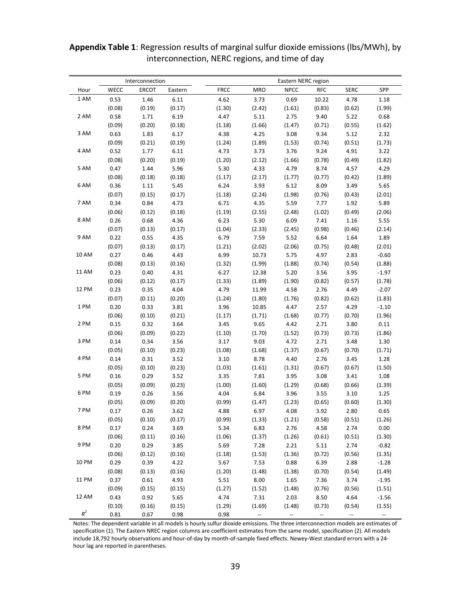|                |        | Interconnection |         | Eastern NERC region |                          |                          |            |                          |                          |  |
|----------------|--------|-----------------|---------|---------------------|--------------------------|--------------------------|------------|--------------------------|--------------------------|--|
| Hour           | WECC   | <b>ERCOT</b>    | Eastern | <b>FRCC</b>         | <b>MRO</b>               | <b>NPCC</b>              | <b>RFC</b> | <b>SERC</b>              | SPP                      |  |
| 1 AM           | 0.53   | 1.46            | 6.11    | 4.62                | 3.73                     | 0.69                     | 10.22      | 4.78                     | 1.18                     |  |
|                | (0.08) | (0.19)          | (0.17)  | (1.30)              | (2.42)                   | (1.61)                   | (0.83)     | (0.62)                   | (1.99)                   |  |
| 2 AM           | 0.58   | 1.71            | 6.19    | 4.47                | 5.11                     | 2.75                     | 9.40       | 5.22                     | 0.68                     |  |
|                | (0.09) | (0.20)          | (0.18)  | (1.18)              | (1.66)                   | (1.47)                   | (0.71)     | (0.55)                   | (1.62)                   |  |
| 3 AM           | 0.63   | 1.83            | 6.17    | 4.38                | 4.25                     | 3.08                     | 9.34       | 5.12                     | 2.32                     |  |
|                | (0.09) | (0.21)          | (0.19)  | (1.24)              | (1.89)                   | (1.53)                   | (0.74)     | (0.51)                   | (1.73)                   |  |
| 4 AM           | 0.52   | 1.77            | 6.11    | 4.73                | 3.73                     | 3.76                     | 9.24       | 4.91                     | 3.22                     |  |
|                | (0.08) | (0.20)          | (0.19)  | (1.20)              | (2.12)                   | (1.66)                   | (0.78)     | (0.49)                   | (1.82)                   |  |
| 5 AM           | 0.47   | 1.44            | 5.96    | 5.30                | 4.33                     | 4.79                     | 8.74       | 4.57                     | 4.29                     |  |
|                | (0.08) | (0.18)          | (0.18)  | (1.17)              | (2.17)                   | (1.77)                   | (0.77)     | (0.42)                   | (1.89)                   |  |
| 6 AM           | 0.36   | 1.11            | 5.45    | 6.24                | 3.93                     | 6.12                     | 8.09       | 3.49                     | 5.65                     |  |
|                | (0.07) | (0.15)          | (0.17)  | (1.18)              | (2.24)                   | (1.98)                   | (0.76)     | (0.43)                   | (2.01)                   |  |
| 7 AM           | 0.34   | 0.84            | 4.73    | 6.71                | 4.35                     | 5.59                     | 7.77       | 1.92                     | 5.89                     |  |
|                | (0.06) | (0.12)          | (0.18)  | (1.19)              | (2.55)                   | (2.48)                   | (1.02)     | (0.49)                   | (2.06)                   |  |
| 8 AM           | 0.26   | 0.68            | 4.36    | 6.23                | 5.30                     | 6.09                     | 7.41       | 1.16                     | 5.55                     |  |
|                | (0.07) | (0.13)          | (0.17)  | (1.04)              | (2.33)                   | (2.45)                   | (0.98)     | (0.46)                   | (2.14)                   |  |
| 9 AM           | 0.22   | 0.55            | 4.35    | 6.79                | 7.59                     | 5.52                     | 6.64       | 1.64                     | 1.89                     |  |
|                | (0.07) | (0.13)          | (0.17)  | (1.21)              | (2.02)                   | (2.06)                   | (0.75)     | (0.48)                   | (2.01)                   |  |
| 10 AM          | 0.27   | 0.46            | 4.43    | 6.99                | 10.73                    | 5.75                     | 4.97       | 2.83                     | $-0.60$                  |  |
|                | (0.08) | (0.13)          | (0.16)  | (1.32)              | (1.99)                   | (1.88)                   | (0.74)     | (0.54)                   | (1.88)                   |  |
| 11 AM          | 0.23   | 0.40            | 4.31    | 6.27                | 12.38                    | 5.20                     | 3.56       | 3.95                     | $-1.97$                  |  |
|                | (0.06) | (0.12)          | (0.17)  | (1.33)              | (1.89)                   | (1.90)                   | (0.82)     | (0.57)                   | (1.78)                   |  |
| 12 PM          | 0.23   | 0.35            | 4.04    | 4.79                | 11.99                    | 4.58                     | 2.76       | 4.49                     | $-2.07$                  |  |
|                | (0.07) | (0.11)          | (0.20)  | (1.24)              | (1.80)                   | (1.76)                   | (0.82)     | (0.62)                   | (1.83)                   |  |
| 1 PM           | 0.20   | 0.33            | 3.81    | 3.96                | 10.85                    | 4.47                     | 2.57       | 4.29                     | $-1.10$                  |  |
|                | (0.06) | (0.10)          | (0.21)  | (1.17)              | (1.71)                   | (1.68)                   | (0.77)     | (0.70)                   | (1.96)                   |  |
| 2 PM           | 0.15   | 0.32            | 3.64    | 3.45                | 9.65                     | 4.42                     | 2.71       | 3.80                     | 0.11                     |  |
|                | (0.06) | (0.09)          | (0.22)  | (1.10)              | (1.70)                   | (1.52)                   | (0.73)     | (0.73)                   | (1.86)                   |  |
| 3 PM           | 0.14   | 0.34            | 3.56    | 3.17                | 9.03                     | 4.72                     | 2.71       | 3.48                     | 1.30                     |  |
|                | (0.05) | (0.10)          | (0.23)  | (1.08)              | (1.68)                   | (1.37)                   | (0.67)     | (0.70)                   | (1.71)                   |  |
| 4 PM           | 0.14   | 0.31            | 3.52    | 3.10                | 8.78                     | 4.40                     | 2.76       | 3.45                     | 1.28                     |  |
|                | (0.05) | (0.10)          | (0.23)  | (1.03)              | (1.61)                   | (1.31)                   | (0.67)     | (0.67)                   | (1.50)                   |  |
| 5 PM           | 0.16   | 0.29            | 3.52    | 3.35                | 7.81                     | 3.95                     | 3.08       | 3.41                     | 1.08                     |  |
|                | (0.05) | (0.09)          | (0.23)  | (1.00)              | (1.60)                   | (1.29)                   | (0.68)     | (0.66)                   | (1.39)                   |  |
| 6 PM           | 0.19   | 0.26            | 3.56    | 4.04                | 6.84                     | 3.96                     | 3.55       | 3.10                     | 1.25                     |  |
|                | (0.05) | (0.09)          | (0.20)  | (0.99)              | (1.47)                   | (1.23)                   | (0.65)     | (0.60)                   | (1.30)                   |  |
| 7 PM           | 0.17   | 0.26            | 3.62    | 4.88                | 6.97                     | 4.08                     | 3.92       | 2.80                     | 0.65                     |  |
|                | (0.05) | (0.10)          | (0.17)  | (0.99)              | (1.33)                   | (1.21)                   | (0.58)     | (0.51)                   | (1.26)                   |  |
| 8 PM           | 0.17   | 0.24            | 3.69    | 5.34                | 6.83                     | 2.76                     | 4.58       | 2.74                     | 0.00                     |  |
|                | (0.06) | (0.11)          | (0.16)  | (1.06)              | (1.37)                   | (1.26)                   | (0.61)     | (0.51)                   | (1.30)                   |  |
| 9 PM           | 0.20   | 0.29            | 3.85    | 5.69                | 7.28                     | 2.21                     | 5.11       | 2.74                     | $-0.82$                  |  |
|                | (0.06) | (0.12)          | (0.16)  | (1.18)              | (1.53)                   | (1.36)                   | (0.72)     | (0.56)                   | (1.35)                   |  |
| 10 PM          | 0.29   | 0.39            | 4.22    | 5.67                | 7.53                     | 0.88                     | 6.39       | 2.88                     | $-1.28$                  |  |
|                | (0.08) | (0.13)          | (0.16)  | (1.20)              | (1.48)                   | (1.38)                   | (0.70)     | (0.54)                   | (1.49)                   |  |
| 11 PM          | 0.37   | 0.61            | 4.93    | 5.51                | 8.00                     | 1.65                     | 7.36       | 3.74                     | $-1.95$                  |  |
|                | (0.09) | (0.15)          | (0.15)  | (1.27)              | (1.52)                   | (1.48)                   | (0.76)     | (0.56)                   | (1.51)                   |  |
| 12 AM          | 0.43   | 0.92            | 5.65    | 4.74                | 7.31                     | 2.03                     | 8.50       | 4.64                     | $-1.56$                  |  |
|                | (0.10) | (0.16)          | (0.15)  | (1.29)              | (1.69)                   | (1.48)                   | (0.73)     | (0.54)                   | (1.55)                   |  |
| $\mathbb{R}^2$ | 0.81   | 0.67            | 0.98    | 0.98                | $\overline{\phantom{a}}$ | $\overline{\phantom{a}}$ | --         | $\overline{\phantom{a}}$ | $\overline{\phantom{a}}$ |  |

# **Appendix Table 1**: Regression results of marginal sulfur dioxide emissions (lbs/MWh), by interconnection, NERC regions, and time of day

Notes: The dependent variable in all models is hourly sulfur dioxide emissions. The three interconnection models are estimates of specification (1). The Eastern NREC region columns are coefficient estimates from the same model, specification (2). All models include 18,792 hourly observations and hour-of-day by month-of-sample fixed effects. Newey-West standard errors with a 24 hour lag are reported in parentheses.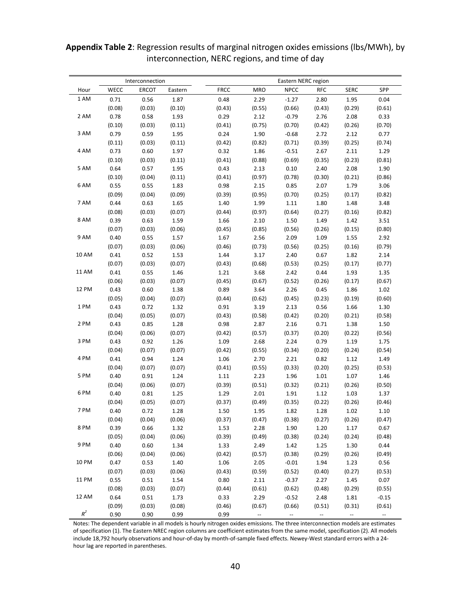|                |        | Interconnection |         | Eastern NERC region |                          |             |        |                          |                          |  |  |
|----------------|--------|-----------------|---------|---------------------|--------------------------|-------------|--------|--------------------------|--------------------------|--|--|
| Hour           | WECC   | <b>ERCOT</b>    | Eastern | <b>FRCC</b>         | <b>MRO</b>               | <b>NPCC</b> | RFC    | <b>SERC</b>              | SPP                      |  |  |
| 1 AM           | 0.71   | 0.56            | 1.87    | 0.48                | 2.29                     | $-1.27$     | 2.80   | 1.95                     | 0.04                     |  |  |
|                | (0.08) | (0.03)          | (0.10)  | (0.43)              | (0.55)                   | (0.66)      | (0.43) | (0.29)                   | (0.61)                   |  |  |
| 2 AM           | 0.78   | 0.58            | 1.93    | 0.29                | 2.12                     | $-0.79$     | 2.76   | 2.08                     | 0.33                     |  |  |
|                | (0.10) | (0.03)          | (0.11)  | (0.41)              | (0.75)                   | (0.70)      | (0.42) | (0.26)                   | (0.70)                   |  |  |
| 3 AM           | 0.79   | 0.59            | 1.95    | 0.24                | 1.90                     | $-0.68$     | 2.72   | 2.12                     | 0.77                     |  |  |
|                | (0.11) | (0.03)          | (0.11)  | (0.42)              | (0.82)                   | (0.71)      | (0.39) | (0.25)                   | (0.74)                   |  |  |
| 4 AM           | 0.73   | 0.60            | 1.97    | 0.32                | 1.86                     | $-0.51$     | 2.67   | 2.11                     | 1.29                     |  |  |
|                | (0.10) | (0.03)          | (0.11)  | (0.41)              | (0.88)                   | (0.69)      | (0.35) | (0.23)                   | (0.81)                   |  |  |
| 5 AM           | 0.64   | 0.57            | 1.95    | 0.43                | 2.13                     | 0.10        | 2.40   | 2.08                     | 1.90                     |  |  |
|                | (0.10) | (0.04)          | (0.11)  | (0.41)              | (0.97)                   | (0.78)      | (0.30) | (0.21)                   | (0.86)                   |  |  |
| 6 AM           | 0.55   | 0.55            | 1.83    | 0.98                | 2.15                     | 0.85        | 2.07   | 1.79                     | 3.06                     |  |  |
|                | (0.09) | (0.04)          | (0.09)  | (0.39)              | (0.95)                   | (0.70)      | (0.25) | (0.17)                   | (0.82)                   |  |  |
| 7 AM           | 0.44   | 0.63            | 1.65    | 1.40                | 1.99                     | 1.11        | 1.80   | 1.48                     | 3.48                     |  |  |
|                | (0.08) | (0.03)          | (0.07)  | (0.44)              | (0.97)                   | (0.64)      | (0.27) | (0.16)                   | (0.82)                   |  |  |
| 8 AM           | 0.39   | 0.63            | 1.59    | 1.66                | 2.10                     | 1.50        | 1.49   | 1.42                     | 3.51                     |  |  |
|                | (0.07) | (0.03)          | (0.06)  | (0.45)              | (0.85)                   | (0.56)      | (0.26) | (0.15)                   | (0.80)                   |  |  |
| 9 AM           | 0.40   | 0.55            | 1.57    | 1.67                | 2.56                     | 2.09        | 1.09   | 1.55                     | 2.92                     |  |  |
|                | (0.07) | (0.03)          | (0.06)  | (0.46)              | (0.73)                   | (0.56)      | (0.25) | (0.16)                   | (0.79)                   |  |  |
| 10 AM          | 0.41   | 0.52            | 1.53    | 1.44                | 3.17                     | 2.40        | 0.67   | 1.82                     | 2.14                     |  |  |
|                | (0.07) | (0.03)          | (0.07)  | (0.43)              | (0.68)                   | (0.53)      | (0.25) | (0.17)                   | (0.77)                   |  |  |
| 11 AM          | 0.41   | 0.55            | 1.46    | 1.21                | 3.68                     | 2.42        | 0.44   | 1.93                     | 1.35                     |  |  |
|                | (0.06) | (0.03)          | (0.07)  | (0.45)              | (0.67)                   | (0.52)      | (0.26) | (0.17)                   | (0.67)                   |  |  |
| 12 PM          | 0.43   | 0.60            | 1.38    | 0.89                | 3.64                     | 2.26        | 0.45   | 1.86                     | 1.02                     |  |  |
|                | (0.05) | (0.04)          | (0.07)  | (0.44)              | (0.62)                   | (0.45)      | (0.23) | (0.19)                   | (0.60)                   |  |  |
| 1 PM           | 0.43   | 0.72            | 1.32    | 0.91                | 3.19                     | 2.13        | 0.56   | 1.66                     | 1.30                     |  |  |
|                | (0.04) | (0.05)          | (0.07)  | (0.43)              | (0.58)                   | (0.42)      | (0.20) | (0.21)                   | (0.58)                   |  |  |
| 2 PM           | 0.43   | 0.85            | 1.28    | 0.98                | 2.87                     | 2.16        | 0.71   | 1.38                     | 1.50                     |  |  |
|                | (0.04) | (0.06)          | (0.07)  | (0.42)              | (0.57)                   | (0.37)      | (0.20) | (0.22)                   | (0.56)                   |  |  |
| 3 PM           | 0.43   | 0.92            | 1.26    | 1.09                | 2.68                     | 2.24        | 0.79   | 1.19                     | 1.75                     |  |  |
|                | (0.04) | (0.07)          | (0.07)  | (0.42)              | (0.55)                   | (0.34)      | (0.20) | (0.24)                   | (0.54)                   |  |  |
| 4 PM           | 0.41   | 0.94            | 1.24    | 1.06                | 2.70                     | 2.21        | 0.82   | 1.12                     | 1.49                     |  |  |
|                | (0.04) | (0.07)          | (0.07)  | (0.41)              | (0.55)                   | (0.33)      | (0.20) | (0.25)                   | (0.53)                   |  |  |
| 5 PM           | 0.40   | 0.91            | 1.24    | 1.11                | 2.23                     | 1.96        | 1.01   | 1.07                     | 1.46                     |  |  |
|                | (0.04) | (0.06)          | (0.07)  | (0.39)              | (0.51)                   | (0.32)      | (0.21) | (0.26)                   | (0.50)                   |  |  |
| 6 PM           | 0.40   | 0.81            | 1.25    | 1.29                | 2.01                     | 1.91        | 1.12   | 1.03                     | 1.37                     |  |  |
|                | (0.04) | (0.05)          | (0.07)  | (0.37)              | (0.49)                   | (0.35)      | (0.22) | (0.26)                   | (0.46)                   |  |  |
| 7 PM           | 0.40   | 0.72            | 1.28    | 1.50                | 1.95                     | 1.82        | 1.28   | 1.02                     | 1.10                     |  |  |
|                | (0.04) | (0.04)          | (0.06)  | (0.37)              | (0.47)                   | (0.38)      | (0.27) | (0.26)                   | (0.47)                   |  |  |
| 8 PM           | 0.39   | 0.66            | 1.32    | 1.53                | 2.28                     | 1.90        | 1.20   | 1.17                     | 0.67                     |  |  |
|                | (0.05) | (0.04)          | (0.06)  | (0.39)              | (0.49)                   | (0.38)      | (0.24) | (0.24)                   | (0.48)                   |  |  |
| 9 PM           | 0.40   | 0.60            | 1.34    | 1.33                | 2.49                     | 1.42        | 1.25   | 1.30                     | 0.44                     |  |  |
|                | (0.06) | (0.04)          | (0.06)  | (0.42)              | (0.57)                   | (0.38)      | (0.29) | (0.26)                   | (0.49)                   |  |  |
| 10 PM          | 0.47   | 0.53            | 1.40    | 1.06                | 2.05                     | $-0.01$     | 1.94   | 1.23                     | 0.56                     |  |  |
|                | (0.07) | (0.03)          | (0.06)  | (0.43)              | (0.59)                   | (0.52)      | (0.40) | (0.27)                   | (0.53)                   |  |  |
| 11 PM          | 0.55   | 0.51            | 1.54    | 0.80                | 2.11                     | $-0.37$     | 2.27   | 1.45                     | 0.07                     |  |  |
|                | (0.08) | (0.03)          | (0.07)  | (0.44)              | (0.61)                   | (0.62)      | (0.48) | (0.29)                   | (0.55)                   |  |  |
| 12 AM          | 0.64   | 0.51            | 1.73    | 0.33                | 2.29                     | $-0.52$     | 2.48   | 1.81                     | $-0.15$                  |  |  |
|                | (0.09) | (0.03)          | (0.08)  | (0.46)              | (0.67)                   | (0.66)      | (0.51) | (0.31)                   | (0.61)                   |  |  |
| $\mathbb{R}^2$ | 0.90   | 0.90            | 0.99    | 0.99                | $\overline{\phantom{a}}$ | --          | --     | $\overline{\phantom{a}}$ | $\overline{\phantom{a}}$ |  |  |

# **Appendix Table 2**: Regression results of marginal nitrogen oxides emissions (lbs/MWh), by interconnection, NERC regions, and time of day

Notes: The dependent variable in all models is hourly nitrogen oxides emissions. The three interconnection models are estimates of specification (1). The Eastern NREC region columns are coefficient estimates from the same model, specification (2). All models include 18,792 hourly observations and hour-of-day by month-of-sample fixed effects. Newey-West standard errors with a 24 hour lag are reported in parentheses.